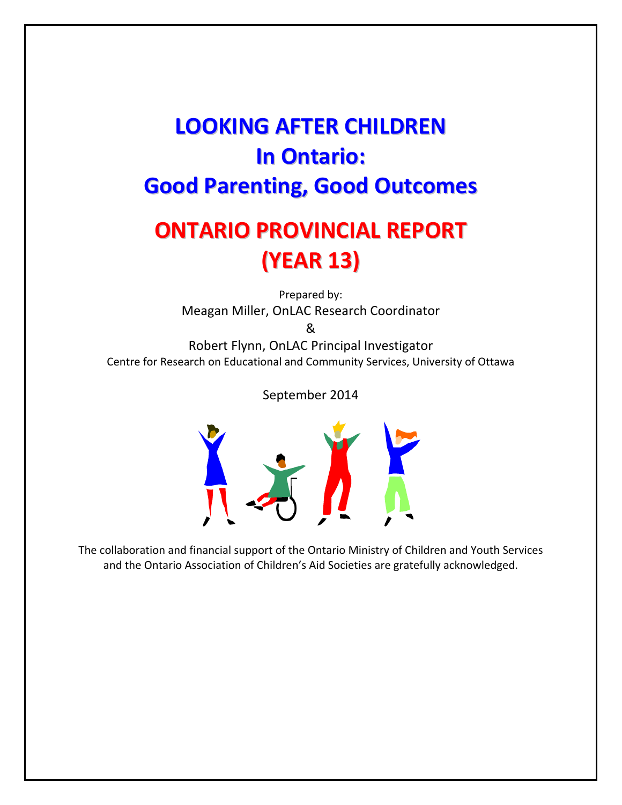# **LOOKING AFTER CHILDREN In Ontario: Good Parenting, Good Outcomes**

# **ONTARIO PROVINCIAL REPORT (YEAR 13)**

Prepared by: Meagan Miller, OnLAC Research Coordinator

&

Robert Flynn, OnLAC Principal Investigator Centre for Research on Educational and Community Services, University of Ottawa

September 2014



The collaboration and financial support of the Ontario Ministry of Children and Youth Services and the Ontario Association of Children's Aid Societies are gratefully acknowledged.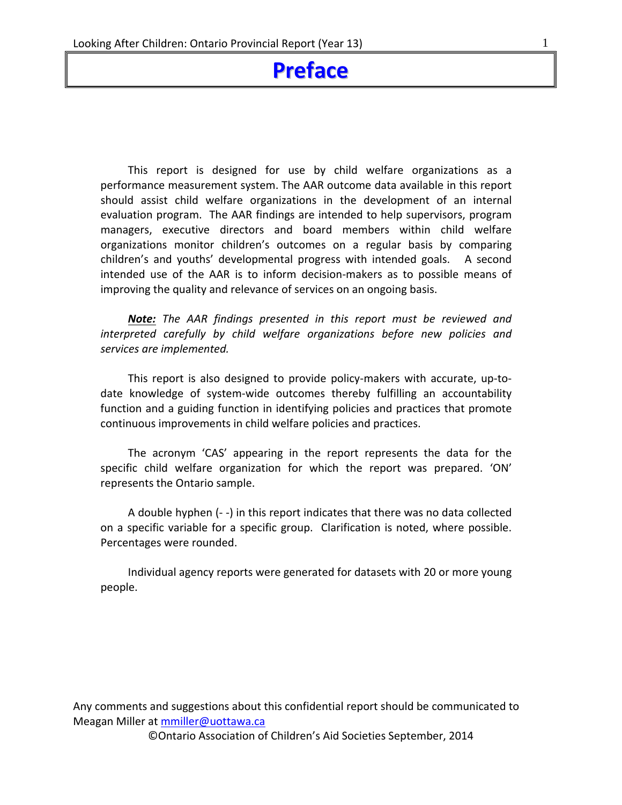## **Preface**

This report is designed for use by child welfare organizations as a performance measurement system. The AAR outcome data available in this report should assist child welfare organizations in the development of an internal evaluation program. The AAR findings are intended to help supervisors, program managers, executive directors and board members within child welfare organizations monitor children's outcomes on a regular basis by comparing children's and youths' developmental progress with intended goals. A second intended use of the AAR is to inform decision-makers as to possible means of improving the quality and relevance of services on an ongoing basis.

*Note: The AAR findings presented in this report must be reviewed and interpreted carefully by child welfare organizations before new policies and services are implemented.*

This report is also designed to provide policy‐makers with accurate, up‐to‐ date knowledge of system-wide outcomes thereby fulfilling an accountability function and a guiding function in identifying policies and practices that promote continuous improvements in child welfare policies and practices.

The acronym 'CAS' appearing in the report represents the data for the specific child welfare organization for which the report was prepared. 'ON' represents the Ontario sample.

A double hyphen (‐ ‐) in this report indicates that there was no data collected on a specific variable for a specific group. Clarification is noted, where possible. Percentages were rounded.

Individual agency reports were generated for datasets with 20 or more young people.

Any comments and suggestions about this confidential report should be communicated to Meagan Miller at mmiller@uottawa.ca

©Ontario Association of Children's Aid Societies September, 2014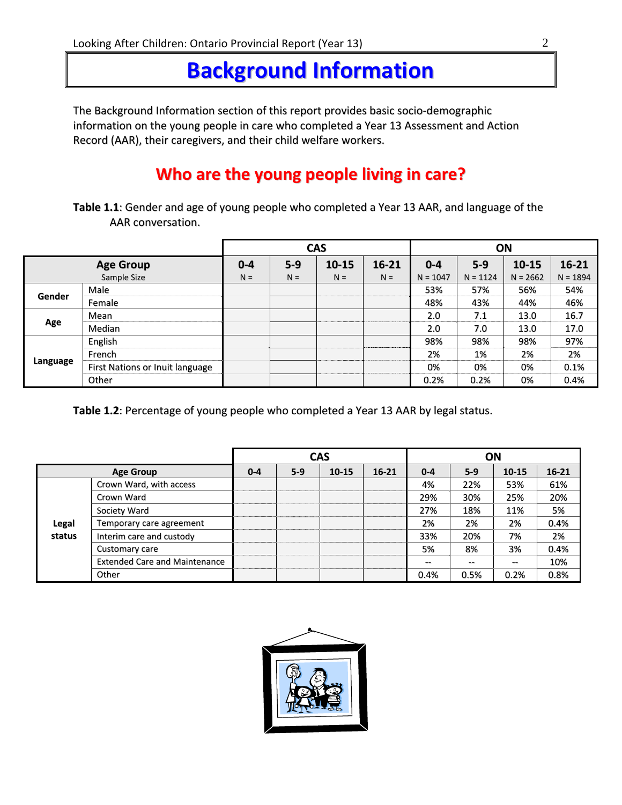# **Background Information**

The Background Information section of this report provides basic socio‐demographic information on the young people in care who completed a Year 13 Assessment and Action Record (AAR), their caregivers, and their child welfare workers.

## **Who are the young people living in care?**

**Table 1.1**: Gender and age of young people who completed a Year 13 AAR, and language of the AAR conversation.

|             |                                 |         |         | <b>CAS</b> |           | ON         |            |            |            |  |
|-------------|---------------------------------|---------|---------|------------|-----------|------------|------------|------------|------------|--|
|             | <b>Age Group</b>                | $0 - 4$ | $5 - 9$ | $10 - 15$  | $16 - 21$ | $0 - 4$    | $5 - 9$    | $10 - 15$  | $16 - 21$  |  |
| Sample Size |                                 | $N =$   | $N =$   | $N =$      | $N =$     | $N = 1047$ | $N = 1124$ | $N = 2662$ | $N = 1894$ |  |
| Gender      | Male                            |         |         |            |           | 53%        | 57%        | 56%        | 54%        |  |
|             | Female                          |         |         |            |           | 48%        | 43%        | 44%        | 46%        |  |
|             | Mean                            |         |         |            |           | 2.0        | 7.1        | 13.0       | 16.7       |  |
| Age         | Median                          |         |         |            |           | 2.0        | 7.0        | 13.0       | 17.0       |  |
|             | English                         |         |         |            |           | 98%        | 98%        | 98%        | 97%        |  |
|             | French                          |         |         |            |           | 2%         | 1%         | 2%         | 2%         |  |
| Language    | First Nations or Inuit language |         |         |            |           | 0%         | 0%         | 0%         | 0.1%       |  |
|             | Other                           |         |         |            |           | 0.2%       | 0.2%       | 0%         | 0.4%       |  |

**Table 1.2**: Percentage of young people who completed a Year 13 AAR by legal status.

|        |                                      |         |       | <b>CAS</b> |           | ΟN      |       |           |           |  |
|--------|--------------------------------------|---------|-------|------------|-----------|---------|-------|-----------|-----------|--|
|        | <b>Age Group</b>                     | $0 - 4$ | $5-9$ | $10 - 15$  | $16 - 21$ | $0 - 4$ | $5-9$ | $10 - 15$ | $16 - 21$ |  |
|        | Crown Ward, with access              |         |       |            |           | 4%      | 22%   | 53%       | 61%       |  |
|        | Crown Ward                           |         |       |            |           | 29%     | 30%   | 25%       | 20%       |  |
|        | Society Ward                         |         |       |            |           | 27%     | 18%   | 11%       | 5%        |  |
| Legal  | Temporary care agreement             |         |       |            |           | 2%      | 2%    | 2%        | 0.4%      |  |
| status | Interim care and custody             |         |       |            |           | 33%     | 20%   | 7%        | 2%        |  |
|        | Customary care                       |         |       |            |           | 5%      | 8%    | 3%        | 0.4%      |  |
|        | <b>Extended Care and Maintenance</b> |         |       |            |           | $- -$   | $- -$ | --        | 10%       |  |
|        | Other                                |         |       |            |           | 0.4%    | 0.5%  | 0.2%      | 0.8%      |  |

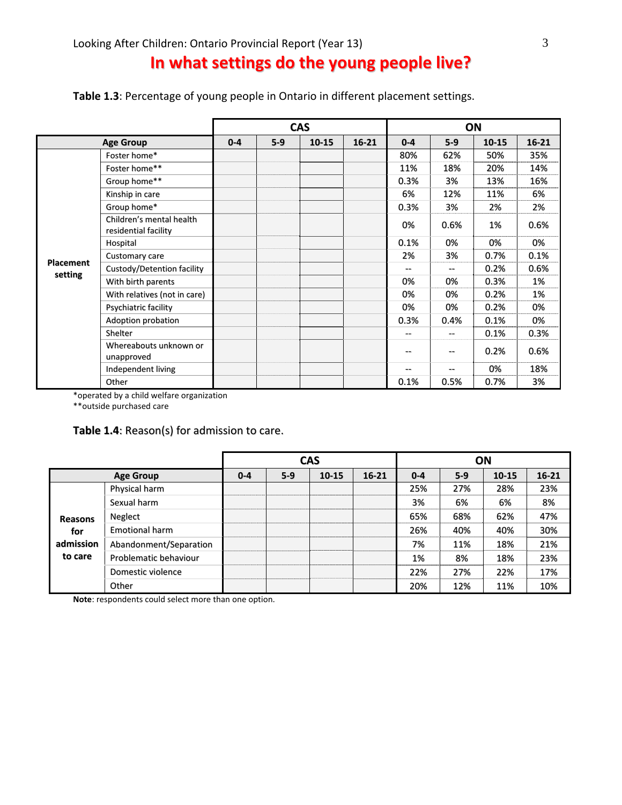## **In what settings do the young people live?**

| Table 1.3: Percentage of young people in Ontario in different placement settings. |  |  |  |
|-----------------------------------------------------------------------------------|--|--|--|
|-----------------------------------------------------------------------------------|--|--|--|

|                             |                                                  |         |       | <b>CAS</b> |           | ON      |       |           |           |  |
|-----------------------------|--------------------------------------------------|---------|-------|------------|-----------|---------|-------|-----------|-----------|--|
|                             | <b>Age Group</b>                                 | $0 - 4$ | $5-9$ | $10 - 15$  | $16 - 21$ | $0 - 4$ | $5-9$ | $10 - 15$ | $16 - 21$ |  |
|                             | Foster home*                                     |         |       |            |           | 80%     | 62%   | 50%       | 35%       |  |
|                             | Foster home**                                    |         |       |            |           | 11%     | 18%   | 20%       | 14%       |  |
|                             | Group home**                                     |         |       |            |           | 0.3%    | 3%    | 13%       | 16%       |  |
|                             | Kinship in care                                  |         |       |            |           | 6%      | 12%   | 11%       | 6%        |  |
|                             | Group home*                                      |         |       |            |           | 0.3%    | 3%    | 2%        | 2%        |  |
|                             | Children's mental health<br>residential facility |         |       |            |           | 0%      | 0.6%  | 1%        | 0.6%      |  |
|                             | Hospital                                         |         |       |            |           | 0.1%    | 0%    | 0%        | 0%        |  |
|                             | Customary care                                   |         |       |            |           | 2%      | 3%    | 0.7%      | 0.1%      |  |
| <b>Placement</b><br>setting | Custody/Detention facility                       |         |       |            |           |         | $-$   | 0.2%      | 0.6%      |  |
|                             | With birth parents                               |         |       |            |           | 0%      | 0%    | 0.3%      | 1%        |  |
|                             | With relatives (not in care)                     |         |       |            |           | 0%      | 0%    | 0.2%      | 1%        |  |
|                             | Psychiatric facility                             |         |       |            |           | 0%      | 0%    | 0.2%      | 0%        |  |
|                             | Adoption probation                               |         |       |            |           | 0.3%    | 0.4%  | 0.1%      | 0%        |  |
|                             | Shelter                                          |         |       |            |           | --      | $-$   | 0.1%      | 0.3%      |  |
|                             | Whereabouts unknown or<br>unapproved             |         |       |            |           |         | --    | 0.2%      | 0.6%      |  |
|                             | Independent living                               |         |       |            |           |         | --    | 0%        | 18%       |  |
|                             | Other                                            |         |       |            |           | 0.1%    | 0.5%  | 0.7%      | 3%        |  |

\*operated by a child welfare organization

\*\*outside purchased care

#### **Table 1.4**: Reason(s) for admission to care.

|                |                        |         |         | <b>CAS</b> |           |         | ON    |       |           |
|----------------|------------------------|---------|---------|------------|-----------|---------|-------|-------|-----------|
|                | <b>Age Group</b>       | $0 - 4$ | $5 - 9$ | $10 - 15$  | $16 - 21$ | $0 - 4$ | $5-9$ | 10-15 | $16 - 21$ |
|                | Physical harm          |         |         |            |           | 25%     | 27%   | 28%   | 23%       |
|                | Sexual harm            |         |         |            |           | 3%      | 6%    | 6%    | 8%        |
| <b>Reasons</b> | Neglect                |         |         |            |           | 65%     | 68%   | 62%   | 47%       |
| for            | <b>Emotional harm</b>  |         |         |            |           | 26%     | 40%   | 40%   | 30%       |
| admission      | Abandonment/Separation |         |         |            |           | 7%      | 11%   | 18%   | 21%       |
| to care        | Problematic behaviour  |         |         |            |           | 1%      | 8%    | 18%   | 23%       |
|                | Domestic violence      |         |         |            |           | 22%     | 27%   | 22%   | 17%       |
|                | Other                  |         |         |            |           | 20%     | 12%   | 11%   | 10%       |

**Note**: respondents could select more than one option.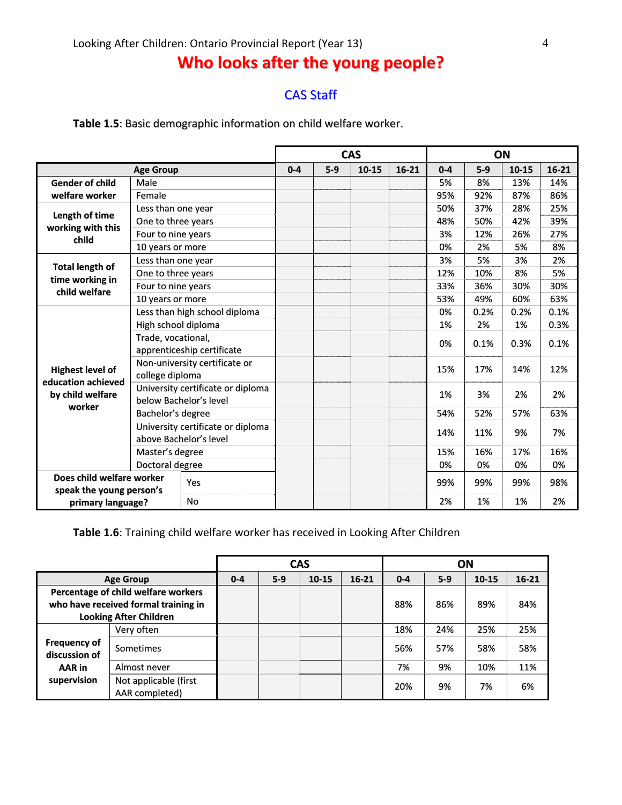## **Who looks after the young people?**

### CAS Staff

**Table 1.5**: Basic demographic information on child welfare worker.

|                                           |                    |                                   |         |         | <b>CAS</b> |           | ON      |       |       |         |
|-------------------------------------------|--------------------|-----------------------------------|---------|---------|------------|-----------|---------|-------|-------|---------|
|                                           | <b>Age Group</b>   |                                   | $0 - 4$ | $5 - 9$ | 10-15      | $16 - 21$ | $0 - 4$ | $5-9$ | 10-15 | $16-21$ |
| <b>Gender of child</b>                    | Male               |                                   |         |         |            |           | 5%      | 8%    | 13%   | 14%     |
| welfare worker                            | Female             |                                   |         |         |            |           | 95%     | 92%   | 87%   | 86%     |
| Length of time                            | Less than one year |                                   |         |         |            |           | 50%     | 37%   | 28%   | 25%     |
| working with this                         | One to three years |                                   |         |         |            |           | 48%     | 50%   | 42%   | 39%     |
| child                                     | Four to nine years |                                   |         |         |            |           | 3%      | 12%   | 26%   | 27%     |
|                                           | 10 years or more   |                                   |         |         |            |           | 0%      | 2%    | 5%    | 8%      |
|                                           | Less than one year |                                   |         |         |            |           | 3%      | 5%    | 3%    | 2%      |
| <b>Total length of</b><br>time working in | One to three years |                                   |         |         |            |           | 12%     | 10%   | 8%    | 5%      |
| child welfare                             | Four to nine years |                                   |         |         |            |           | 33%     | 36%   | 30%   | 30%     |
|                                           | 10 years or more   |                                   |         |         |            |           | 53%     | 49%   | 60%   | 63%     |
|                                           |                    | Less than high school diploma     |         |         |            |           | 0%      | 0.2%  | 0.2%  | 0.1%    |
|                                           |                    | High school diploma               |         |         |            |           | 1%      | 2%    | 1%    | 0.3%    |
|                                           | Trade, vocational, |                                   |         |         |            | 0%        | 0.1%    | 0.3%  | 0.1%  |         |
|                                           |                    | apprenticeship certificate        |         |         |            |           |         |       |       |         |
| <b>Highest level of</b>                   |                    | Non-university certificate or     |         |         |            |           | 15%     | 17%   | 14%   | 12%     |
| education achieved                        | college diploma    |                                   |         |         |            |           |         |       |       |         |
| by child welfare                          |                    | University certificate or diploma |         |         |            |           | 1%      | 3%    | 2%    | 2%      |
| worker                                    |                    | below Bachelor's level            |         |         |            |           |         |       |       |         |
|                                           | Bachelor's degree  |                                   |         |         |            |           | 54%     | 52%   | 57%   | 63%     |
|                                           |                    | University certificate or diploma |         |         |            |           | 14%     | 11%   | 9%    | 7%      |
|                                           |                    | above Bachelor's level            |         |         |            |           |         |       |       |         |
|                                           | Master's degree    |                                   |         |         |            |           | 15%     | 16%   | 17%   | 16%     |
|                                           | Doctoral degree    |                                   |         |         |            |           | 0%      | 0%    | 0%    | 0%      |
| Does child welfare worker                 |                    | Yes                               |         |         |            |           | 99%     | 99%   | 99%   | 98%     |
| speak the young person's                  |                    |                                   |         |         |            |           |         |       |       |         |
| primary language?                         |                    | <b>No</b>                         |         |         |            |           | 2%      | 1%    | 1%    | 2%      |

**Table 1.6**: Training child welfare worker has received in Looking After Children

|                                                                                                              |                                         |         |       | <b>CAS</b> |           |         |       | ON        |           |
|--------------------------------------------------------------------------------------------------------------|-----------------------------------------|---------|-------|------------|-----------|---------|-------|-----------|-----------|
|                                                                                                              | <b>Age Group</b>                        | $0 - 4$ | $5-9$ | $10 - 15$  | $16 - 21$ | $0 - 4$ | $5-9$ | $10 - 15$ | $16 - 21$ |
| Percentage of child welfare workers<br>who have received formal training in<br><b>Looking After Children</b> |                                         |         |       |            | 88%       | 86%     | 89%   | 84%       |           |
|                                                                                                              | Very often                              |         |       |            |           | 18%     | 24%   | 25%       | 25%       |
| <b>Frequency of</b><br>discussion of                                                                         | Sometimes                               |         |       |            |           | 56%     | 57%   | 58%       | 58%       |
| AAR in                                                                                                       | Almost never                            |         |       |            |           | 7%      | 9%    | 10%       | 11%       |
| supervision                                                                                                  | Not applicable (first<br>AAR completed) |         |       |            |           | 20%     | 9%    | 7%        | 6%        |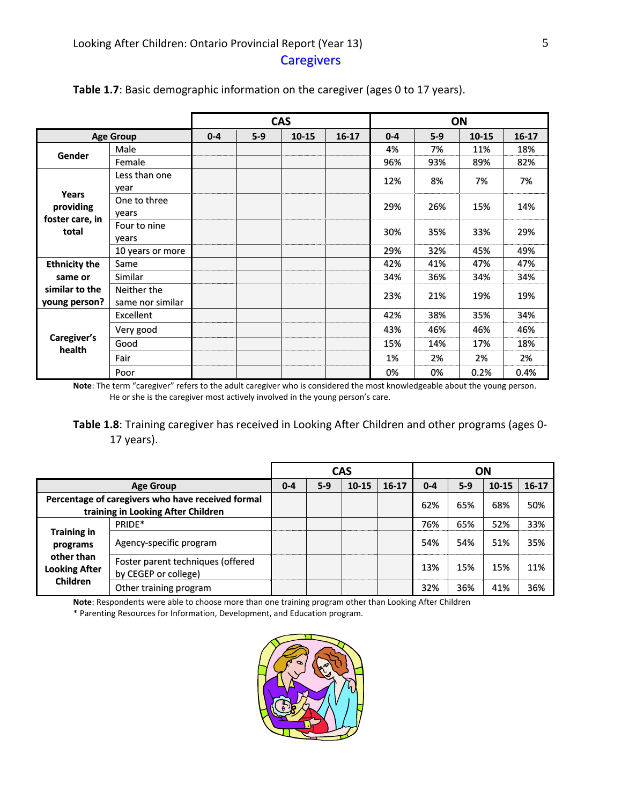|                                 |                                 |         |       | <b>CAS</b> |           |         |       | ON        |           |
|---------------------------------|---------------------------------|---------|-------|------------|-----------|---------|-------|-----------|-----------|
|                                 | <b>Age Group</b>                | $0 - 4$ | $5-9$ | 10-15      | $16 - 17$ | $0 - 4$ | $5-9$ | $10 - 15$ | $16 - 17$ |
| Gender                          | Male                            |         |       |            |           | 4%      | 7%    | 11%       | 18%       |
|                                 | Female                          |         |       |            |           | 96%     | 93%   | 89%       | 82%       |
|                                 | Less than one<br>year           |         |       |            |           | 12%     | 8%    | 7%        | 7%        |
| Years<br>providing              | One to three<br>years           |         |       |            |           | 29%     | 26%   | 15%       | 14%       |
| foster care, in<br>total        | Four to nine<br>years           |         |       |            |           | 30%     | 35%   | 33%       | 29%       |
|                                 | 10 years or more                |         |       |            |           | 29%     | 32%   | 45%       | 49%       |
| <b>Ethnicity the</b>            | Same                            |         |       |            |           | 42%     | 41%   | 47%       | 47%       |
| same or                         | <b>Similar</b>                  |         |       |            |           | 34%     | 36%   | 34%       | 34%       |
| similar to the<br>young person? | Neither the<br>same nor similar |         |       |            |           | 23%     | 21%   | 19%       | 19%       |
|                                 | Excellent                       |         |       |            |           | 42%     | 38%   | 35%       | 34%       |
|                                 | Very good                       |         |       |            |           | 43%     | 46%   | 46%       | 46%       |
| Caregiver's<br>health           | Good                            |         |       |            |           | 15%     | 14%   | 17%       | 18%       |
|                                 | Fair                            |         |       |            |           | 1%      | 2%    | 2%        | 2%        |
|                                 | Poor                            |         |       |            |           | 0%      | 0%    | 0.2%      | 0.4%      |

#### **Table 1.7**: Basic demographic information on the caregiver (ages 0 to 17 years).

**Note**: The term "caregiver" refers to the adult caregiver who is considered the most knowledgeable about the young person. He or she is the caregiver most actively involved in the young person's care.

**Table 1.8**: Training caregiver has received in Looking After Children and other programs (ages 0‐ 17 years).

|                                                                                         |                                                           |         |       | <b>CAS</b> |           | ON      |       |           |           |
|-----------------------------------------------------------------------------------------|-----------------------------------------------------------|---------|-------|------------|-----------|---------|-------|-----------|-----------|
|                                                                                         | <b>Age Group</b>                                          | $0 - 4$ | $5-9$ | $10 - 15$  | $16 - 17$ | $0 - 4$ | $5-9$ | $10 - 15$ | $16 - 17$ |
| Percentage of caregivers who have received formal<br>training in Looking After Children |                                                           |         |       |            | 62%       | 65%     | 68%   | 50%       |           |
|                                                                                         | PRIDE*                                                    |         |       |            |           | 76%     | 65%   | 52%       | 33%       |
| <b>Training in</b><br>programs<br>other than<br><b>Looking After</b><br><b>Children</b> | Agency-specific program                                   |         |       |            |           | 54%     | 54%   | 51%       | 35%       |
|                                                                                         | Foster parent techniques (offered<br>by CEGEP or college) |         |       |            |           | 13%     | 15%   | 15%       | 11%       |
|                                                                                         | Other training program                                    |         |       |            |           | 32%     | 36%   | 41%       | 36%       |

**Note**: Respondents were able to choose more than one training program other than Looking After Children

\* Parenting Resources for Information, Development, and Education program.

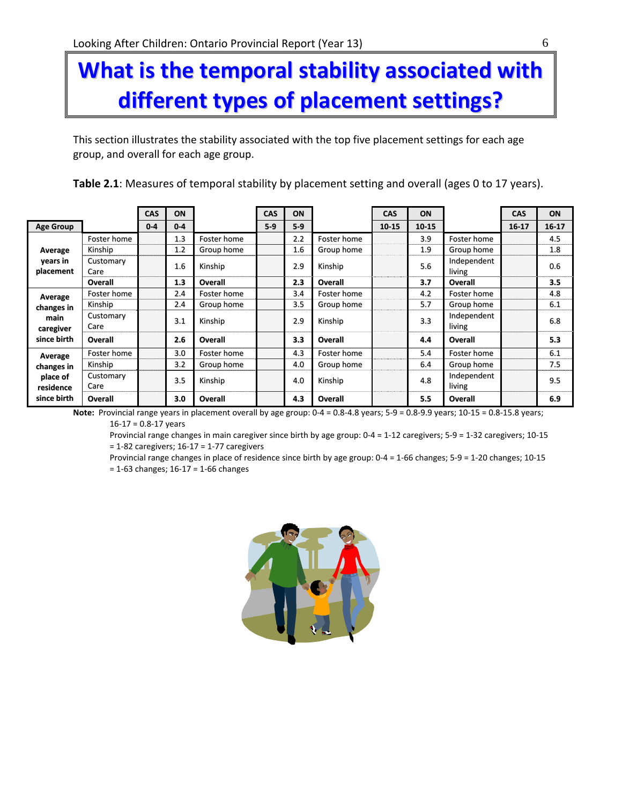# **What is the temporal stability associated with different types of placement settings?**

This section illustrates the stability associated with the top five placement settings for each age group, and overall for each age group.

| Table 2.1: Measures of temporal stability by placement setting and overall (ages 0 to 17 years). |  |  |
|--------------------------------------------------------------------------------------------------|--|--|
|--------------------------------------------------------------------------------------------------|--|--|

|                       |                   | <b>CAS</b> | ON      |             | <b>CAS</b> | ON    |                | <b>CAS</b> | ON        |                       | <b>CAS</b> | ON        |
|-----------------------|-------------------|------------|---------|-------------|------------|-------|----------------|------------|-----------|-----------------------|------------|-----------|
| <b>Age Group</b>      |                   | $0 - 4$    | $0 - 4$ |             | $5-9$      | $5-9$ |                | 10-15      | $10 - 15$ |                       | $16 - 17$  | $16 - 17$ |
|                       | Foster home       |            | 1.3     | Foster home |            | 2.2   | Foster home    |            | 3.9       | Foster home           |            | 4.5       |
| Average               | Kinship           |            | 1.2     | Group home  |            | 1.6   | Group home     |            | 1.9       | Group home            |            | 1.8       |
| years in<br>placement | Customary<br>Care |            | 1.6     | Kinship     |            | 2.9   | Kinship        |            | 5.6       | Independent<br>living |            | 0.6       |
|                       | Overall           |            | 1.3     | Overall     |            | 2.3   | <b>Overall</b> |            | 3.7       | Overall               |            | 3.5       |
| Average               | Foster home       |            | 2.4     | Foster home |            | 3.4   | Foster home    |            | 4.2       | Foster home           |            | 4.8       |
| changes in            | Kinship           |            | 2.4     | Group home  |            | 3.5   | Group home     |            | 5.7       | Group home            |            | 6.1       |
| main<br>caregiver     | Customary<br>Care |            | 3.1     | Kinship     |            | 2.9   | Kinship        |            | 3.3       | Independent<br>living |            | 6.8       |
| since birth           | Overall           |            | 2.6     | Overall     |            | 3.3   | Overall        |            | 4.4       | Overall               |            | 5.3       |
| Average               | Foster home       |            | 3.0     | Foster home |            | 4.3   | Foster home    |            | 5.4       | Foster home           |            | 6.1       |
| changes in            | Kinship           |            | 3.2     | Group home  |            | 4.0   | Group home     |            | 6.4       | Group home            |            | 7.5       |
| place of<br>residence | Customary<br>Care |            | 3.5     | Kinship     |            | 4.0   | Kinship        |            | 4.8       | Independent<br>living |            | 9.5       |
| since birth           | Overall           |            | 3.0     | Overall     |            | 4.3   | Overall        |            | 5.5       | Overall               |            | 6.9       |

**Note:** Provincial range years in placement overall by age group: 0-4 = 0.8-4.8 years; 5-9 = 0.8-9.9 years; 10-15 = 0.8-15.8 years; 16‐17 = 0.8‐17 years

Provincial range changes in main caregiver since birth by age group: 0‐4 = 1‐12 caregivers; 5‐9 = 1‐32 caregivers; 10‐15 = 1‐82 caregivers; 16‐17 = 1‐77 caregivers

Provincial range changes in place of residence since birth by age group: 0‐4 = 1‐66 changes; 5‐9 = 1‐20 changes; 10‐15 = 1‐63 changes; 16‐17 = 1‐66 changes

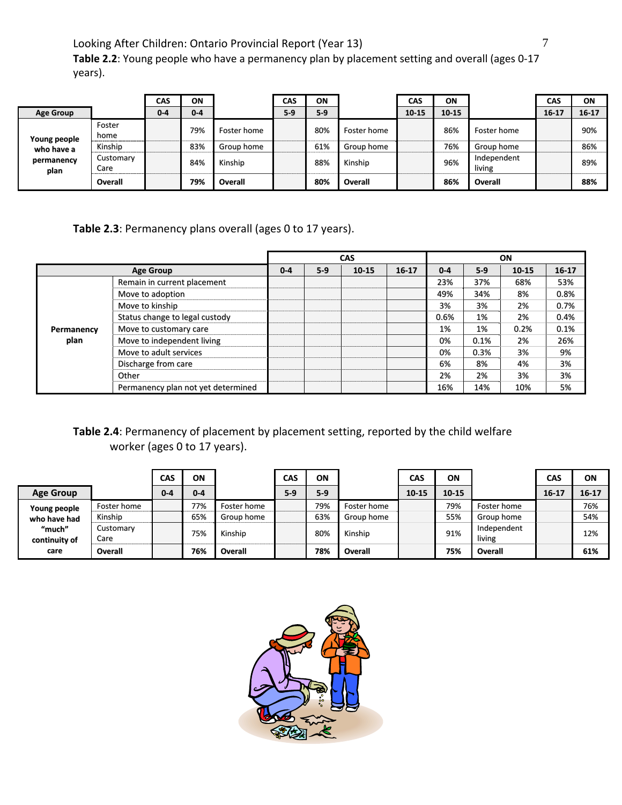**Table 2.2**: Young people who have a permanency plan by placement setting and overall (ages 0‐17 years).

|                    |                   | <b>CAS</b> | ON      |             | CAS   | ON    |                | CAS   | ON        |                       | CAS       | ON        |
|--------------------|-------------------|------------|---------|-------------|-------|-------|----------------|-------|-----------|-----------------------|-----------|-----------|
| <b>Age Group</b>   |                   | $0 - 4$    | $0 - 4$ |             | $5-9$ | $5-9$ |                | 10-15 | $10 - 15$ |                       | $16 - 17$ | $16 - 17$ |
| Young people       | Foster<br>home    |            | 79%     | Foster home |       | 80%   | Foster home    |       | 86%       | Foster home           |           | 90%       |
| who have a         | Kinship           |            | 83%     | Group home  |       | 61%   | Group home     |       | 76%       | Group home            |           | 86%       |
| permanency<br>plan | Customary<br>Care |            | 84%     | Kinship     |       | 88%   | Kinship        |       | 96%       | Independent<br>living |           | 89%       |
|                    | Overall           |            | 79%     | Overall     |       | 80%   | <b>Overall</b> |       | 86%       | Overall               |           | 88%       |

### **Table 2.3**: Permanency plans overall (ages 0 to 17 years).

|            |                                    |         |       | <b>CAS</b> |         |         |       | <b>ON</b> |         |
|------------|------------------------------------|---------|-------|------------|---------|---------|-------|-----------|---------|
|            | <b>Age Group</b>                   | $0 - 4$ | $5-9$ | 10-15      | $16-17$ | $0 - 4$ | $5-9$ | 10-15     | $16-17$ |
|            | Remain in current placement        |         |       |            |         | 23%     | 37%   | 68%       | 53%     |
|            | Move to adoption                   |         |       |            |         | 49%     | 34%   | 8%        | 0.8%    |
|            | Move to kinship                    |         |       |            |         | 3%      | 3%    | 2%        | 0.7%    |
|            | Status change to legal custody     |         |       |            |         | 0.6%    | 1%    | 2%        | 0.4%    |
| Permanency | Move to customary care             |         |       |            |         | 1%      | 1%    | 0.2%      | 0.1%    |
| plan       | Move to independent living         |         |       |            |         | 0%      | 0.1%  | 2%        | 26%     |
|            | Move to adult services             |         |       |            |         | 0%      | 0.3%  | 3%        | 9%      |
|            | Discharge from care                |         |       |            |         | 6%      | 8%    | 4%        | 3%      |
|            | Other                              |         |       |            |         | 2%      | 2%    | 3%        | 3%      |
|            | Permanency plan not yet determined |         |       |            |         | 16%     | 14%   | 10%       | 5%      |

### **Table 2.4**: Permanency of placement by placement setting, reported by the child welfare worker (ages 0 to 17 years).

|                         |                   | CAS     | ON      |             | <b>CAS</b> | <b>ON</b> |             | CAS   | ΟN        |                       | CAS       | ON        |
|-------------------------|-------------------|---------|---------|-------------|------------|-----------|-------------|-------|-----------|-----------------------|-----------|-----------|
| <b>Age Group</b>        |                   | $0 - 4$ | $0 - 4$ |             | $5-9$      | $5-9$     |             | 10-15 | $10 - 15$ |                       | $16 - 17$ | $16 - 17$ |
| Young people            | Foster home       |         | 77%     | Foster home |            | 79%       | Foster home |       | 79%       | Foster home           |           | 76%       |
| who have had            | Kinship           |         | 65%     | Group home  |            | 63%       | Group home  |       | 55%       | Group home            |           | 54%       |
| "much"<br>continuity of | Customary<br>Care |         | 75%     | Kinship     |            | 80%       | Kinship     |       | 91%       | Independent<br>living |           | 12%       |
| care                    | Overall           |         | 76%     | Overall     |            | 78%       | Overall     |       | 75%       | Overall               |           | 61%       |

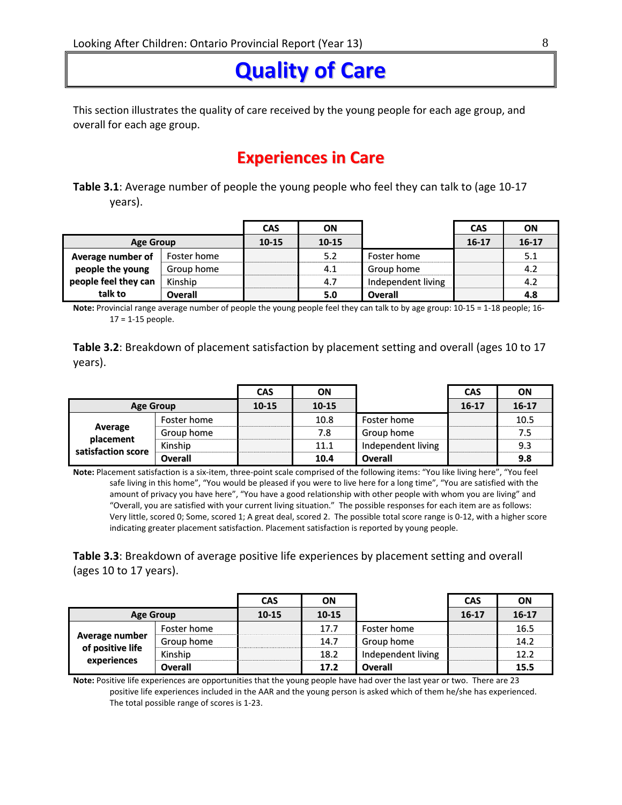## **Quality of Care**

This section illustrates the quality of care received by the young people for each age group, and overall for each age group.

### **Experiences in Care**

**Table 3.1**: Average number of people the young people who feel they can talk to (age 10‐17 years).

|                      |             | <b>CAS</b> | ΟN        |                    | <b>CAS</b> | ON        |
|----------------------|-------------|------------|-----------|--------------------|------------|-----------|
| <b>Age Group</b>     |             | 10-15      | $10 - 15$ |                    | $16 - 17$  | $16 - 17$ |
| Average number of    | Foster home |            | 5.2       | Foster home        |            | 5.1       |
| people the young     | Group home  |            | 4.1       | Group home         |            | 4.2       |
| people feel they can | Kinship     |            | 4.7       | Independent living |            | 4.2       |
| talk to              | Overall     |            | 5.0       | <b>Overall</b>     |            | 4.8       |

**Note:** Provincial range average number of people the young people feel they can talk to by age group: 10‐15 = 1‐18 people; 16‐ 17 = 1‐15 people.

**Table 3.2**: Breakdown of placement satisfaction by placement setting and overall (ages 10 to 17 years).

|                                 |                | <b>CAS</b> | ΟN        |                    | <b>CAS</b> | ON        |
|---------------------------------|----------------|------------|-----------|--------------------|------------|-----------|
| <b>Age Group</b>                |                | $10 - 15$  | $10 - 15$ |                    | $16 - 17$  | $16 - 17$ |
|                                 | Foster home    |            | 10.8      | Foster home        |            | 10.5      |
| Average                         | Group home     |            | 7.8       | Group home         |            | 7.5       |
| placement<br>satisfaction score | Kinship        |            | 11.1      | Independent living |            | 9.3       |
|                                 | <b>Overall</b> |            | 10.4      | <b>Overall</b>     |            | 9.8       |

**Note:** Placement satisfaction is a six‐item, three‐point scale comprised of the following items: "You like living here", "You feel safe living in this home", "You would be pleased if you were to live here for a long time", "You are satisfied with the amount of privacy you have here", "You have a good relationship with other people with whom you are living" and "Overall, you are satisfied with your current living situation." The possible responses for each item are as follows: Very little, scored 0; Some, scored 1; A great deal, scored 2. The possible total score range is 0‐12, with a higher score indicating greater placement satisfaction. Placement satisfaction is reported by young people.

**Table 3.3**: Breakdown of average positive life experiences by placement setting and overall (ages 10 to 17 years).

|                  |                | <b>CAS</b> | ON        |                    | <b>CAS</b> | ΟN        |
|------------------|----------------|------------|-----------|--------------------|------------|-----------|
| <b>Age Group</b> |                | $10 - 15$  | $10 - 15$ |                    | $16 - 17$  | $16 - 17$ |
|                  | Foster home    |            | 17.7      | Foster home        |            | 16.5      |
| Average number   | Group home     |            | 14.7      | Group home         |            | 14.2      |
| of positive life | Kinship        |            | 18.2      | Independent living |            | 12.2      |
| experiences      | <b>Overall</b> |            | 17.2      | <b>Overall</b>     |            | 15.5      |

**Note:** Positive life experiences are opportunities that the young people have had over the last year or two. There are 23 positive life experiences included in the AAR and the young person is asked which of them he/she has experienced. The total possible range of scores is 1‐23.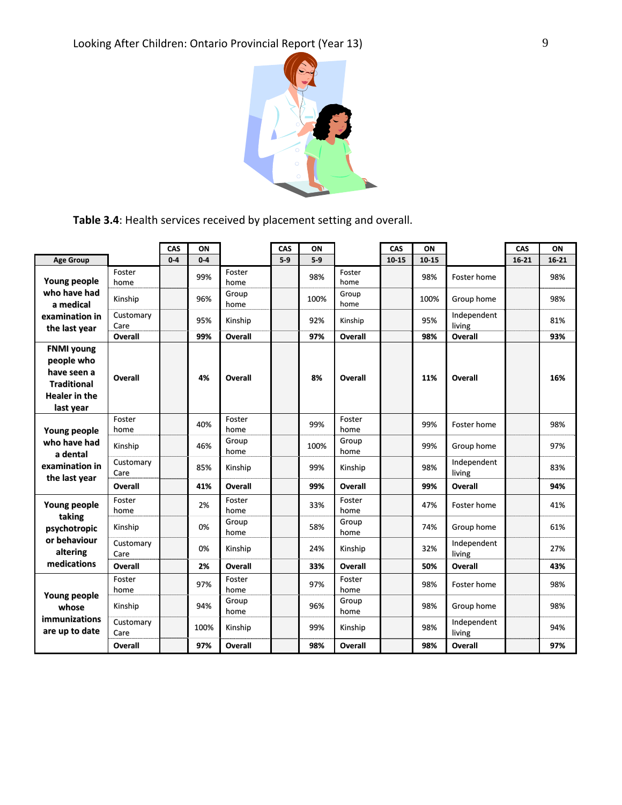

**Table 3.4**: Health services received by placement setting and overall.

|                                                                                                           |                   | CAS   | ON    |                | CAS   | ON    |                | CAS       | ON    |                       | CAS       | ON        |
|-----------------------------------------------------------------------------------------------------------|-------------------|-------|-------|----------------|-------|-------|----------------|-----------|-------|-----------------------|-----------|-----------|
| <b>Age Group</b>                                                                                          |                   | $0-4$ | $0-4$ |                | $5-9$ | $5-9$ |                | $10 - 15$ | 10-15 |                       | $16 - 21$ | $16 - 21$ |
| <b>Young people</b>                                                                                       | Foster<br>home    |       | 99%   | Foster<br>home |       | 98%   | Foster<br>home |           | 98%   | Foster home           |           | 98%       |
| who have had<br>a medical                                                                                 | Kinship           |       | 96%   | Group<br>home  |       | 100%  | Group<br>home  |           | 100%  | Group home            |           | 98%       |
| examination in<br>the last year                                                                           | Customary<br>Care |       | 95%   | Kinship        |       | 92%   | Kinship        |           | 95%   | Independent<br>living |           | 81%       |
|                                                                                                           | <b>Overall</b>    |       | 99%   | <b>Overall</b> |       | 97%   | <b>Overall</b> |           | 98%   | <b>Overall</b>        |           | 93%       |
| <b>FNMI young</b><br>people who<br>have seen a<br><b>Traditional</b><br><b>Healer</b> in the<br>last year | Overall           |       | 4%    | Overall        |       | 8%    | Overall        |           | 11%   | <b>Overall</b>        |           | 16%       |
| Young people                                                                                              | Foster<br>home    |       | 40%   | Foster<br>home |       | 99%   | Foster<br>home |           | 99%   | Foster home           |           | 98%       |
| who have had<br>a dental                                                                                  | Kinship           |       | 46%   | Group<br>home  |       | 100%  | Group<br>home  |           | 99%   | Group home            |           | 97%       |
| examination in<br>the last year                                                                           | Customary<br>Care |       | 85%   | Kinship        |       | 99%   | Kinship        |           | 98%   | Independent<br>living |           | 83%       |
|                                                                                                           | Overall           |       | 41%   | <b>Overall</b> |       | 99%   | <b>Overall</b> |           | 99%   | <b>Overall</b>        |           | 94%       |
| Young people                                                                                              | Foster<br>home    |       | 2%    | Foster<br>home |       | 33%   | Foster<br>home |           | 47%   | Foster home           |           | 41%       |
| taking<br>psychotropic                                                                                    | Kinship           |       | 0%    | Group<br>home  |       | 58%   | Group<br>home  |           | 74%   | Group home            |           | 61%       |
| or behaviour<br>altering                                                                                  | Customary<br>Care |       | 0%    | Kinship        |       | 24%   | Kinship        |           | 32%   | Independent<br>living |           | 27%       |
| medications                                                                                               | <b>Overall</b>    |       | 2%    | <b>Overall</b> |       | 33%   | <b>Overall</b> |           | 50%   | <b>Overall</b>        |           | 43%       |
|                                                                                                           | Foster<br>home    |       | 97%   | Foster<br>home |       | 97%   | Foster<br>home |           | 98%   | Foster home           |           | 98%       |
| Young people<br>whose                                                                                     | Kinship           |       | 94%   | Group<br>home  |       | 96%   | Group<br>home  |           | 98%   | Group home            |           | 98%       |
| immunizations<br>are up to date                                                                           | Customary<br>Care |       | 100%  | Kinship        |       | 99%   | Kinship        |           | 98%   | Independent<br>living |           | 94%       |
|                                                                                                           | Overall           |       | 97%   | <b>Overall</b> |       | 98%   | <b>Overall</b> |           | 98%   | <b>Overall</b>        |           | 97%       |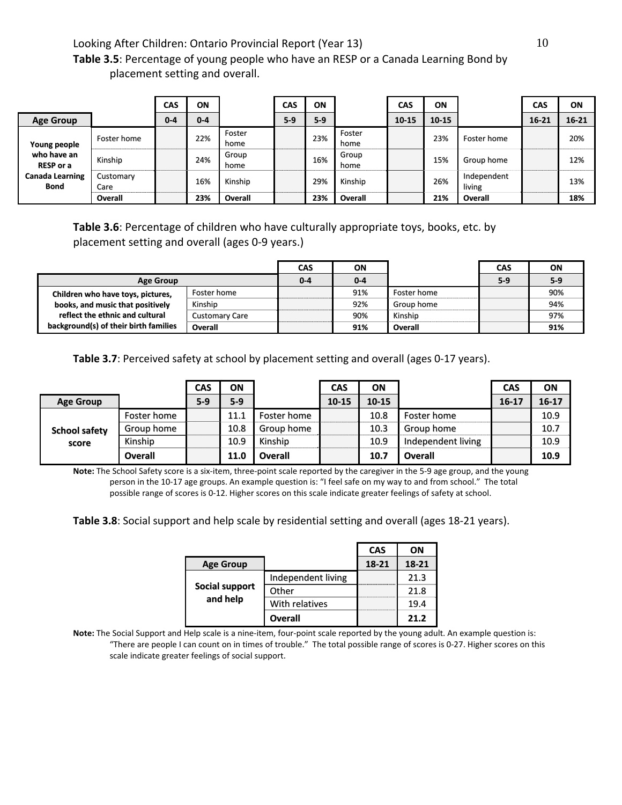**Table 3.5**: Percentage of young people who have an RESP or a Canada Learning Bond by placement setting and overall.

|                                       |                   | CAS     | ON      |                | <b>CAS</b> | ON    |                | <b>CAS</b> | ON        |                       | <b>CAS</b> | ON        |
|---------------------------------------|-------------------|---------|---------|----------------|------------|-------|----------------|------------|-----------|-----------------------|------------|-----------|
| <b>Age Group</b>                      |                   | $0 - 4$ | $0 - 4$ |                | $5-9$      | $5-9$ |                | $10 - 15$  | $10 - 15$ |                       | $16 - 21$  | $16 - 21$ |
| Young people                          | Foster home       |         | 22%     | Foster<br>home |            | 23%   | Foster<br>home |            | 23%       | Foster home           |            | 20%       |
| who have an<br><b>RESP or a</b>       | Kinship           |         | 24%     | Group<br>home  |            | 16%   | Group<br>home  |            | 15%       | Group home            |            | 12%       |
| <b>Canada Learning</b><br><b>Bond</b> | Customary<br>Care |         | 16%     | Kinship        |            | 29%   | Kinship        |            | 26%       | Independent<br>living |            | 13%       |
|                                       | Overall           |         | 23%     | Overall        |            | 23%   | Overall        |            | 21%       | Overall               |            | 18%       |

**Table 3.6**: Percentage of children who have culturally appropriate toys, books, etc. by placement setting and overall (ages 0‐9 years.)

|                                       |                       | CAS     | ΟN      |             | <b>CAS</b> | ON    |
|---------------------------------------|-----------------------|---------|---------|-------------|------------|-------|
| <b>Age Group</b>                      |                       | $0 - 4$ | $0 - 4$ |             | $5-9$      | $5-9$ |
| Children who have toys, pictures,     | Foster home           |         | 91%     | Foster home |            | 90%   |
| books, and music that positively      | Kinship               |         | 92%     | Group home  |            | 94%   |
| reflect the ethnic and cultural       | <b>Customary Care</b> |         | 90%     | Kinship     |            | 97%   |
| background(s) of their birth families | Overall               |         | 91%     | Overall     |            | 91%   |

**Table 3.7**: Perceived safety at school by placement setting and overall (ages 0‐17 years).

|                      |                | <b>CAS</b> | ON    |             | <b>CAS</b> | ΟN        |                    | CAS       | ON    |
|----------------------|----------------|------------|-------|-------------|------------|-----------|--------------------|-----------|-------|
| <b>Age Group</b>     |                | $5-9$      | $5-9$ |             | $10 - 15$  | $10 - 15$ |                    | $16 - 17$ | 16-17 |
|                      | Foster home    |            | 11.1  | Foster home |            | 10.8      | Foster home        |           | 10.9  |
| <b>School safety</b> | Group home     |            | 10.8  | Group home  |            | 10.3      | Group home         |           | 10.7  |
| score                | Kinship        |            | 10.9  | Kinship     |            | 10.9      | Independent living |           | 10.9  |
|                      | <b>Overall</b> |            | 11.0  | Overall     |            | 10.7      | Overall            |           | 10.9  |

**Note:** The School Safety score is a six‐item, three‐point scale reported by the caregiver in the 5‐9 age group, and the young person in the 10‐17 age groups. An example question is: "I feel safe on my way to and from school." The total possible range of scores is 0‐12. Higher scores on this scale indicate greater feelings of safety at school.

**Table 3.8**: Social support and help scale by residential setting and overall (ages 18‐21 years).

|                  |                    | <b>CAS</b> | ΟN    |
|------------------|--------------------|------------|-------|
| <b>Age Group</b> |                    | 18-21      | 18-21 |
|                  | Independent living |            | 21.3  |
| Social support   | Other              |            | 21.8  |
| and help         | With relatives     |            | 19.4  |
|                  | Overall            |            | 21.2  |

**Note:** The Social Support and Help scale is a nine‐item, four‐point scale reported by the young adult. An example question is: "There are people I can count on in times of trouble." The total possible range of scores is 0‐27. Higher scores on this scale indicate greater feelings of social support.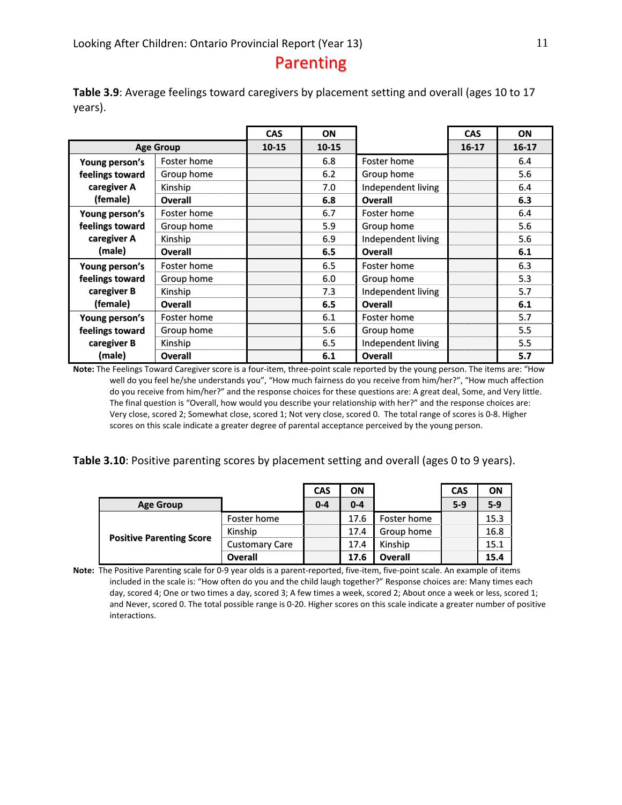### Parenting

**Table 3.9**: Average feelings toward caregivers by placement setting and overall (ages 10 to 17 years).

|                 |                  | <b>CAS</b> | ON        |                    | <b>CAS</b> | ON      |
|-----------------|------------------|------------|-----------|--------------------|------------|---------|
|                 | <b>Age Group</b> | $10 - 15$  | $10 - 15$ |                    | $16 - 17$  | $16-17$ |
| Young person's  | Foster home      |            | 6.8       | Foster home        |            | 6.4     |
| feelings toward | Group home       |            | 6.2       | Group home         |            | 5.6     |
| caregiver A     | Kinship          |            | 7.0       | Independent living |            | 6.4     |
| (female)        | Overall          |            | 6.8       | <b>Overall</b>     |            | 6.3     |
| Young person's  | Foster home      |            | 6.7       | Foster home        |            | 6.4     |
| feelings toward | Group home       |            | 5.9       | Group home         |            | 5.6     |
| caregiver A     | Kinship          |            | 6.9       | Independent living |            | 5.6     |
| (male)          | Overall          |            | 6.5       | <b>Overall</b>     |            | 6.1     |
| Young person's  | Foster home      |            | 6.5       | Foster home        |            | 6.3     |
| feelings toward | Group home       |            | 6.0       | Group home         |            | 5.3     |
| caregiver B     | Kinship          |            | 7.3       | Independent living |            | 5.7     |
| (female)        | <b>Overall</b>   |            | 6.5       | Overall            |            | 6.1     |
| Young person's  | Foster home      |            | 6.1       | Foster home        |            | 5.7     |
| feelings toward | Group home       |            | 5.6       | Group home         |            | 5.5     |
| caregiver B     | Kinship          |            | 6.5       | Independent living |            | 5.5     |
| (male)          | <b>Overall</b>   |            | 6.1       | <b>Overall</b>     |            | 5.7     |

**Note:** The Feelings Toward Caregiver score is a four‐item, three‐point scale reported by the young person. The items are: "How well do you feel he/she understands you", "How much fairness do you receive from him/her?", "How much affection do you receive from him/her?" and the response choices for these questions are: A great deal, Some, and Very little. The final question is "Overall, how would you describe your relationship with her?" and the response choices are: Very close, scored 2; Somewhat close, scored 1; Not very close, scored 0. The total range of scores is 0‐8. Higher scores on this scale indicate a greater degree of parental acceptance perceived by the young person.

**Table 3.10**: Positive parenting scores by placement setting and overall (ages 0 to 9 years).

|                                 |                       | <b>CAS</b> | ON      |             | <b>CAS</b> | ON    |
|---------------------------------|-----------------------|------------|---------|-------------|------------|-------|
| <b>Age Group</b>                |                       | $0 - 4$    | $0 - 4$ |             | $5-9$      | $5-9$ |
|                                 | Foster home           |            | 17.6    | Foster home |            | 15.3  |
|                                 | Kinship               |            | 17.4    | Group home  |            | 16.8  |
| <b>Positive Parenting Score</b> | <b>Customary Care</b> |            | 17.4    | Kinship     |            | 15.1  |
|                                 | Overall               |            | 17.6    | Overall     |            | 15.4  |

Note: The Positive Parenting scale for 0-9 year olds is a parent-reported, five-item, five-point scale. An example of items included in the scale is: "How often do you and the child laugh together?" Response choices are: Many times each day, scored 4; One or two times a day, scored 3; A few times a week, scored 2; About once a week or less, scored 1; and Never, scored 0. The total possible range is 0-20. Higher scores on this scale indicate a greater number of positive interactions.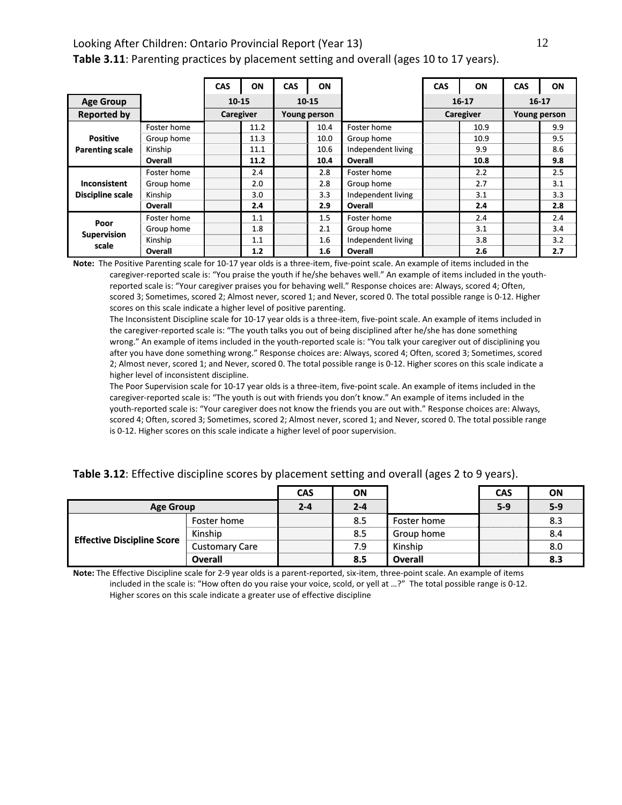### Looking After Children: Ontario Provincial Report (Year 13) 12 **Table 3.11**: Parenting practices by placement setting and overall (ages 10 to 17 years).

|                         |             | <b>CAS</b> | ON   | CAS | ON           |                    | <b>CAS</b> | <b>ON</b> | <b>CAS</b>          | ON  |
|-------------------------|-------------|------------|------|-----|--------------|--------------------|------------|-----------|---------------------|-----|
| <b>Age Group</b>        |             | $10 - 15$  |      |     | $10 - 15$    |                    |            | $16 - 17$ | $16-17$             |     |
| <b>Reported by</b>      |             | Caregiver  |      |     | Young person |                    | Caregiver  |           | <b>Young person</b> |     |
|                         | Foster home |            | 11.2 |     | 10.4         | Foster home        |            | 10.9      |                     | 9.9 |
| <b>Positive</b>         | Group home  |            | 11.3 |     | 10.0         | Group home         |            | 10.9      |                     | 9.5 |
| <b>Parenting scale</b>  | Kinship     |            | 11.1 |     | 10.6         | Independent living |            | 9.9       |                     | 8.6 |
|                         | Overall     |            | 11.2 |     | 10.4         | Overall            |            | 10.8      |                     | 9.8 |
|                         | Foster home |            | 2.4  |     | 2.8          | Foster home        |            | 2.2       |                     | 2.5 |
| <b>Inconsistent</b>     | Group home  |            | 2.0  |     | 2.8          | Group home         |            | 2.7       |                     | 3.1 |
| <b>Discipline scale</b> | Kinship     |            | 3.0  |     | 3.3          | Independent living |            | 3.1       |                     | 3.3 |
|                         | Overall     |            | 2.4  |     | 2.9          | Overall            |            | 2.4       |                     | 2.8 |
| Poor                    | Foster home |            | 1.1  |     | 1.5          | Foster home        |            | 2.4       |                     | 2.4 |
|                         | Group home  |            | 1.8  |     | 2.1          | Group home         |            | 3.1       |                     | 3.4 |
| <b>Supervision</b>      | Kinship     |            | 1.1  |     | 1.6          | Independent living |            | 3.8       |                     | 3.2 |
| scale                   | Overall     |            | 1.2  |     | 1.6          | Overall            |            | 2.6       |                     | 2.7 |

**Note:** The Positive Parenting scale for 10‐17 year olds is a three‐item, five‐point scale. An example of items included in the caregiver-reported scale is: "You praise the youth if he/she behaves well." An example of items included in the youthreported scale is: "Your caregiver praises you for behaving well." Response choices are: Always, scored 4; Often, scored 3; Sometimes, scored 2; Almost never, scored 1; and Never, scored 0. The total possible range is 0‐12. Higher scores on this scale indicate a higher level of positive parenting.

The Inconsistent Discipline scale for 10-17 year olds is a three-item, five-point scale. An example of items included in the caregiver‐reported scale is: "The youth talks you out of being disciplined after he/she has done something wrong." An example of items included in the youth‐reported scale is: "You talk your caregiver out of disciplining you after you have done something wrong." Response choices are: Always, scored 4; Often, scored 3; Sometimes, scored 2; Almost never, scored 1; and Never, scored 0. The total possible range is 0‐12. Higher scores on this scale indicate a higher level of inconsistent discipline.

The Poor Supervision scale for 10‐17 year olds is a three‐item, five‐point scale. An example of items included in the caregiver-reported scale is: "The youth is out with friends you don't know." An example of items included in the youth-reported scale is: "Your caregiver does not know the friends you are out with." Response choices are: Always, scored 4; Often, scored 3; Sometimes, scored 2; Almost never, scored 1; and Never, scored 0. The total possible range is 0‐12. Higher scores on this scale indicate a higher level of poor supervision.

| Table 3.12: Effective discipline scores by placement setting and overall (ages 2 to 9 years). |  |  |  |  |  |
|-----------------------------------------------------------------------------------------------|--|--|--|--|--|
|-----------------------------------------------------------------------------------------------|--|--|--|--|--|

|                                   |                       | <b>CAS</b> | ON      |                | <b>CAS</b> | ON    |
|-----------------------------------|-----------------------|------------|---------|----------------|------------|-------|
| <b>Age Group</b>                  |                       | $2 - 4$    | $2 - 4$ |                | $5-9$      | $5-9$ |
|                                   | Foster home           |            | 8.5     | Foster home    |            | 8.3   |
|                                   | Kinship               |            | 8.5     | Group home     |            | 8.4   |
| <b>Effective Discipline Score</b> | <b>Customary Care</b> |            | 7.9     | Kinship        |            | 8.0   |
|                                   | <b>Overall</b>        |            | 8.5     | <b>Overall</b> |            | 8.3   |

**Note:** The Effective Discipline scale for 2‐9 year olds is a parent‐reported, six‐item, three‐point scale. An example of items included in the scale is: "How often do you raise your voice, scold, or yell at …?" The total possible range is 0‐12. Higher scores on this scale indicate a greater use of effective discipline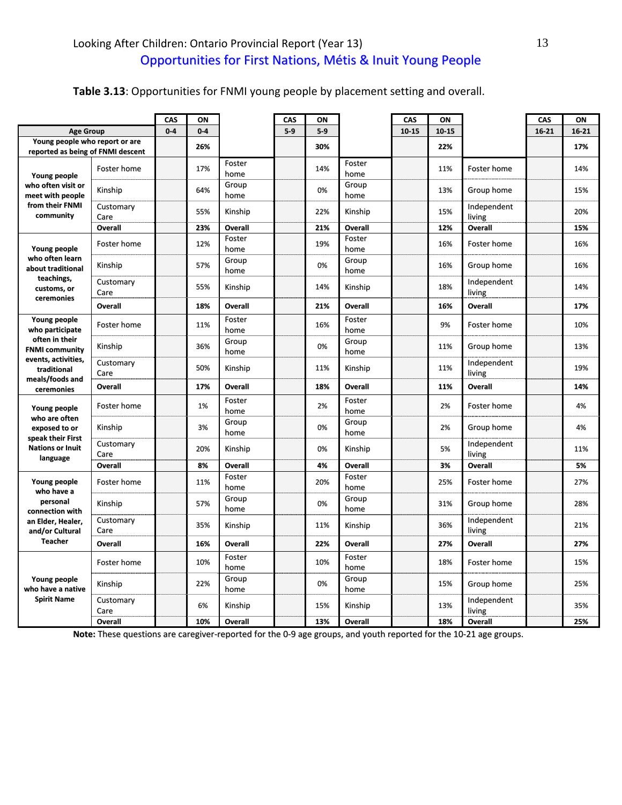### **Table 3.13**: Opportunities for FNMI young people by placement setting and overall.

|                                              |                   | CAS   | ON      |                | CAS   | OΝ    |                | CAS       | ON    |                       | CAS       | ON    |
|----------------------------------------------|-------------------|-------|---------|----------------|-------|-------|----------------|-----------|-------|-----------------------|-----------|-------|
| <b>Age Group</b>                             |                   | $0-4$ | $0 - 4$ |                | $5-9$ | $5-9$ |                | $10 - 15$ | 10-15 |                       | $16 - 21$ | 16-21 |
| Young people who report or are               |                   |       | 26%     |                |       | 30%   |                |           | 22%   |                       |           | 17%   |
| reported as being of FNMI descent            | Foster home       |       | 17%     | Foster         |       | 14%   | Foster         |           | 11%   | Foster home           |           | 14%   |
| Young people<br>who often visit or           | Kinship           |       | 64%     | home<br>Group  |       | 0%    | home<br>Group  |           | 13%   | Group home            |           | 15%   |
| meet with people<br>from their FNMI          |                   |       |         | home           |       |       | home           |           |       |                       |           |       |
| community                                    | Customary<br>Care |       | 55%     | Kinship        |       | 22%   | Kinship        |           | 15%   | Independent<br>living |           | 20%   |
|                                              | <b>Overall</b>    |       | 23%     | Overall        |       | 21%   | <b>Overall</b> |           | 12%   | Overall               |           | 15%   |
| Young people                                 | Foster home       |       | 12%     | Foster<br>home |       | 19%   | Foster<br>home |           | 16%   | Foster home           |           | 16%   |
| who often learn<br>about traditional         | Kinship           |       | 57%     | Group<br>home  |       | 0%    | Group<br>home  |           | 16%   | Group home            |           | 16%   |
| teachings,<br>customs, or                    | Customary<br>Care |       | 55%     | Kinship        |       | 14%   | Kinship        |           | 18%   | Independent<br>living |           | 14%   |
| ceremonies                                   | Overall           |       | 18%     | <b>Overall</b> |       | 21%   | <b>Overall</b> |           | 16%   | <b>Overall</b>        |           | 17%   |
| Young people<br>who participate              | Foster home       |       | 11%     | Foster<br>home |       | 16%   | Foster<br>home |           | 9%    | Foster home           |           | 10%   |
| often in their<br><b>FNMI community</b>      | Kinship           |       | 36%     | Group<br>home  |       | 0%    | Group<br>home  |           | 11%   | Group home            |           | 13%   |
| events, activities,<br>traditional           | Customary<br>Care |       | 50%     | Kinship        |       | 11%   | Kinship        |           | 11%   | Independent<br>living |           | 19%   |
| meals/foods and<br>ceremonies                | Overall           |       | 17%     | <b>Overall</b> |       | 18%   | <b>Overall</b> |           | 11%   | <b>Overall</b>        |           | 14%   |
| Young people                                 | Foster home       |       | 1%      | Foster<br>home |       | 2%    | Foster<br>home |           | 2%    | Foster home           |           | 4%    |
| who are often<br>exposed to or               | Kinship           |       | 3%      | Group<br>home  |       | 0%    | Group<br>home  |           | 2%    | Group home            |           | 4%    |
| speak their First<br><b>Nations or Inuit</b> | Customary<br>Care |       | 20%     | Kinship        |       | 0%    | Kinship        |           | 5%    | Independent<br>living |           | 11%   |
| language                                     | <b>Overall</b>    |       | 8%      | Overall        |       | 4%    | <b>Overall</b> |           | 3%    | <b>Overall</b>        |           | 5%    |
| Young people                                 | Foster home       |       | 11%     | Foster<br>home |       | 20%   | Foster<br>home |           | 25%   | Foster home           |           | 27%   |
| who have a<br>personal<br>connection with    | Kinship           |       | 57%     | Group<br>home  |       | 0%    | Group<br>home  |           | 31%   | Group home            |           | 28%   |
| an Elder, Healer,<br>and/or Cultural         | Customary<br>Care |       | 35%     | Kinship        |       | 11%   | Kinship        |           | 36%   | Independent<br>living |           | 21%   |
| <b>Teacher</b>                               | Overall           |       | 16%     | <b>Overall</b> |       | 22%   | <b>Overall</b> |           | 27%   | <b>Overall</b>        |           | 27%   |
|                                              | Foster home       |       | 10%     | Foster<br>home |       | 10%   | Foster<br>home |           | 18%   | Foster home           |           | 15%   |
| Young people<br>who have a native            | Kinship           |       | 22%     | Group<br>home  |       | 0%    | Group<br>home  |           | 15%   | Group home            |           | 25%   |
| <b>Spirit Name</b>                           | Customary<br>Care |       | 6%      | Kinship        |       | 15%   | Kinship        |           | 13%   | Independent<br>living |           | 35%   |
|                                              | Overall           |       | 10%     | <b>Overall</b> |       | 13%   | Overall        |           | 18%   | Overall               |           | 25%   |

**Note:** These questions are caregiver‐reported for the 0‐9 age groups, and youth reported for the 10‐21 age groups.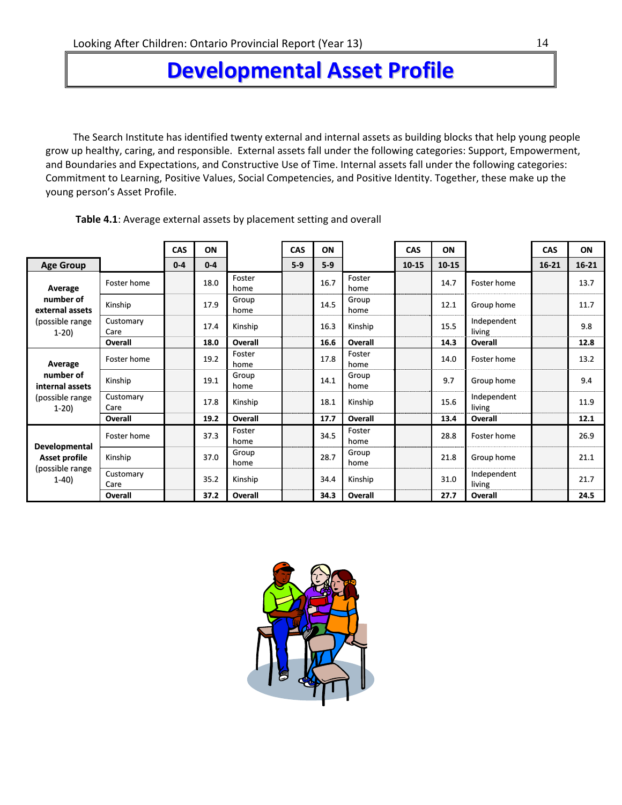# **Developmental Asset Profile**

The Search Institute has identified twenty external and internal assets as building blocks that help young people grow up healthy, caring, and responsible. External assets fall under the following categories: Support, Empowerment, and Boundaries and Expectations, and Constructive Use of Time. Internal assets fall under the following categories: Commitment to Learning, Positive Values, Social Competencies, and Positive Identity. Together, these make up the young person's Asset Profile.

|                                                                           |                   | <b>CAS</b> | ON      |                | CAS   | ON    |                | <b>CAS</b> | ON        |                       | CAS       | ON        |
|---------------------------------------------------------------------------|-------------------|------------|---------|----------------|-------|-------|----------------|------------|-----------|-----------------------|-----------|-----------|
| <b>Age Group</b>                                                          |                   | $0 - 4$    | $0 - 4$ |                | $5-9$ | $5-9$ |                | $10 - 15$  | $10 - 15$ |                       | $16 - 21$ | $16 - 21$ |
| Average                                                                   | Foster home       |            | 18.0    | Foster<br>home |       | 16.7  | Foster<br>home |            | 14.7      | Foster home           |           | 13.7      |
| number of<br>external assets                                              | Kinship           |            | 17.9    | Group<br>home  |       | 14.5  | Group<br>home  |            | 12.1      | Group home            |           | 11.7      |
| (possible range<br>$1-20$                                                 | Customary<br>Care |            | 17.4    | Kinship        |       | 16.3  | Kinship        |            | 15.5      | Independent<br>living |           | 9.8       |
|                                                                           | Overall           |            | 18.0    | <b>Overall</b> |       | 16.6  | Overall        |            | 14.3      | Overall               |           | 12.8      |
| Average                                                                   | Foster home       |            | 19.2    | Foster<br>home |       | 17.8  | Foster<br>home |            | 14.0      | Foster home           |           | 13.2      |
| number of<br>internal assets                                              | Kinship           |            | 19.1    | Group<br>home  |       | 14.1  | Group<br>home  |            | 9.7       | Group home            |           | 9.4       |
| (possible range)<br>$1-20$                                                | Customary<br>Care |            | 17.8    | Kinship        |       | 18.1  | Kinship        |            | 15.6      | Independent<br>living |           | 11.9      |
|                                                                           | Overall           |            | 19.2    | Overall        |       | 17.7  | Overall        |            | 13.4      | Overall               |           | 12.1      |
|                                                                           | Foster home       |            | 37.3    | Foster<br>home |       | 34.5  | Foster<br>home |            | 28.8      | Foster home           |           | 26.9      |
| <b>Developmental</b><br><b>Asset profile</b><br>(possible range<br>$1-40$ | Kinship           |            | 37.0    | Group<br>home  |       | 28.7  | Group<br>home  |            | 21.8      | Group home            |           | 21.1      |
|                                                                           | Customary<br>Care |            | 35.2    | Kinship        |       | 34.4  | Kinship        |            | 31.0      | Independent<br>living |           | 21.7      |
|                                                                           | <b>Overall</b>    |            | 37.2    | <b>Overall</b> |       | 34.3  | Overall        |            | 27.7      | Overall               |           | 24.5      |

**Table 4.1**: Average external assets by placement setting and overall

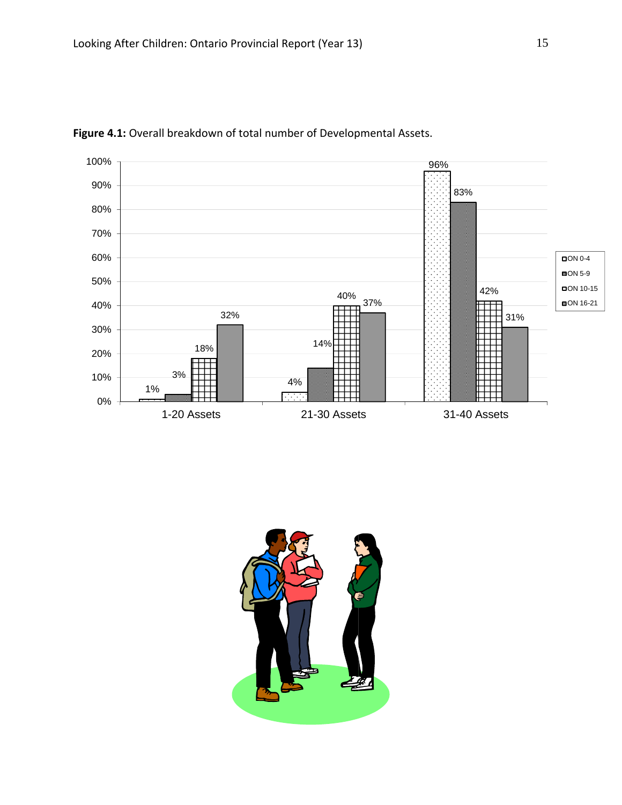

**Figure 4.1:** Overall breakdown of total number of Developmental Assets.

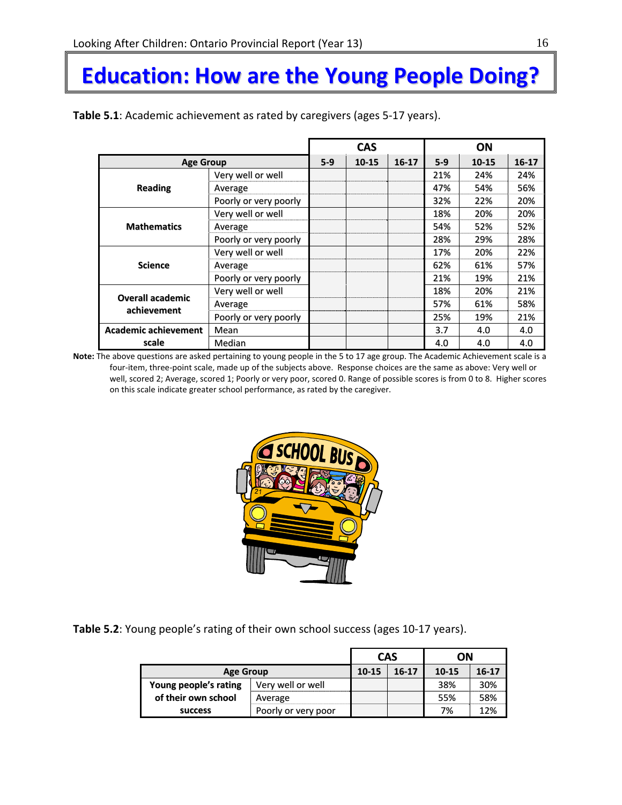# **Education: How are the Young People Doing?**

|                             |                       |       | <b>CAS</b> |         |       | <b>ON</b> |           |
|-----------------------------|-----------------------|-------|------------|---------|-------|-----------|-----------|
| <b>Age Group</b>            |                       | $5-9$ | $10 - 15$  | $16-17$ | $5-9$ | $10 - 15$ | $16 - 17$ |
|                             | Very well or well     |       |            |         | 21%   | 24%       | 24%       |
| <b>Reading</b>              | Average               |       |            |         | 47%   | 54%       | 56%       |
|                             | Poorly or very poorly |       |            |         | 32%   | 22%       | 20%       |
|                             | Very well or well     |       |            |         | 18%   | 20%       | 20%       |
| <b>Mathematics</b>          | Average               |       |            |         | 54%   | 52%       | 52%       |
|                             | Poorly or very poorly |       |            |         | 28%   | 29%       | 28%       |
|                             | Very well or well     |       |            |         | 17%   | 20%       | 22%       |
| <b>Science</b>              | Average               |       |            |         | 62%   | 61%       | 57%       |
|                             | Poorly or very poorly |       |            |         | 21%   | 19%       | 21%       |
|                             | Very well or well     |       |            |         | 18%   | 20%       | 21%       |
| <b>Overall academic</b>     | Average               |       |            |         | 57%   | 61%       | 58%       |
| achievement                 | Poorly or very poorly |       |            |         | 25%   | 19%       | 21%       |
| <b>Academic achievement</b> | Mean                  |       |            |         | 3.7   | 4.0       | 4.0       |
| scale                       | Median                |       |            |         | 4.0   | 4.0       | 4.0       |

**Note:** The above questions are asked pertaining to young people in the 5 to 17 age group. The Academic Achievement scale is a four‐item, three‐point scale, made up of the subjects above. Response choices are the same as above: Very well or well, scored 2; Average, scored 1; Poorly or very poor, scored 0. Range of possible scores is from 0 to 8. Higher scores on this scale indicate greater school performance, as rated by the caregiver.



**Table 5.2**: Young people's rating of their own school success (ages 10‐17 years).

|                                |                     | <b>CAS</b> | OΝ    |           |     |
|--------------------------------|---------------------|------------|-------|-----------|-----|
| <b>Age Group</b>               | 10-15               | $16-17$    | 10-15 | $16 - 17$ |     |
| Young people's rating          | Very well or well   |            |       | 38%       | 30% |
| of their own school<br>Average |                     |            |       | 55%       | 58% |
| <b>SUCCESS</b>                 | Poorly or very poor |            |       | 7%        | 12% |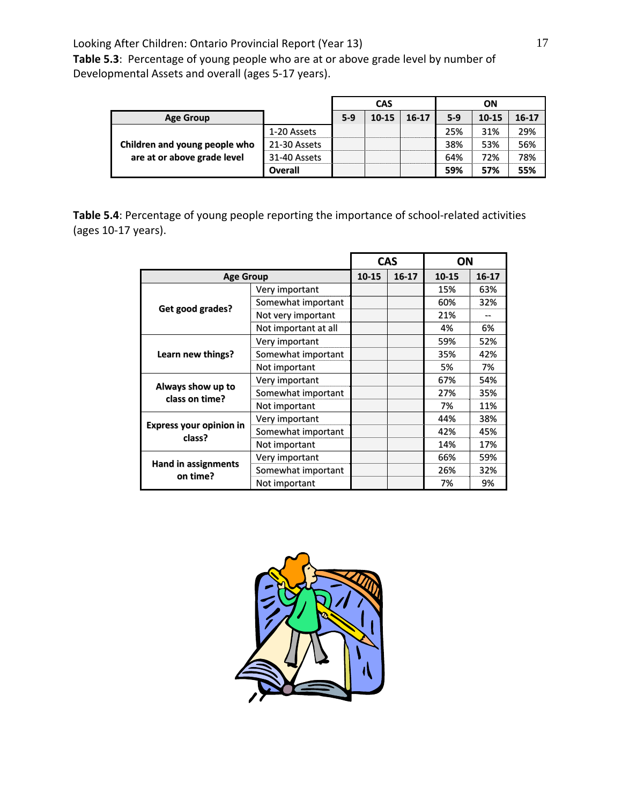**Table 5.3**: Percentage of young people who are at or above grade level by number of Developmental Assets and overall (ages 5‐17 years).

|                               |                |       | <b>CAS</b> |       |       | ΟN        |           |
|-------------------------------|----------------|-------|------------|-------|-------|-----------|-----------|
| <b>Age Group</b>              |                | $5-9$ | $10 - 15$  | 16-17 | $5-9$ | $10 - 15$ | $16 - 17$ |
|                               | 1-20 Assets    |       |            |       | 25%   | 31%       | 29%       |
| Children and young people who | 21-30 Assets   |       |            |       | 38%   | 53%       | 56%       |
| are at or above grade level   | 31-40 Assets   |       |            |       | 64%   | 72%       | 78%       |
|                               | <b>Overall</b> |       |            |       | 59%   | 57%       | 55%       |

**Table 5.4**: Percentage of young people reporting the importance of school‐related activities (ages 10‐17 years).

|                                          |                      |           | <b>CAS</b> | ΟN    |           |
|------------------------------------------|----------------------|-----------|------------|-------|-----------|
| <b>Age Group</b>                         |                      | $10 - 15$ | $16 - 17$  | 10-15 | $16 - 17$ |
|                                          | Very important       |           |            | 15%   | 63%       |
|                                          | Somewhat important   |           |            | 60%   | 32%       |
| Get good grades?                         | Not very important   |           |            | 21%   |           |
|                                          | Not important at all |           |            | 4%    | 6%        |
|                                          | Very important       |           |            | 59%   | 52%       |
| Learn new things?                        | Somewhat important   |           |            | 35%   | 42%       |
|                                          | Not important        |           |            | 5%    | 7%        |
|                                          | Very important       |           |            | 67%   | 54%       |
| Always show up to<br>class on time?      | Somewhat important   |           |            | 27%   | 35%       |
|                                          | Not important        |           |            | 7%    | 11%       |
|                                          | Very important       |           |            | 44%   | 38%       |
| <b>Express your opinion in</b><br>class? | Somewhat important   |           |            | 42%   | 45%       |
|                                          | Not important        |           |            | 14%   | 17%       |
|                                          | Very important       |           |            | 66%   | 59%       |
| <b>Hand in assignments</b><br>on time?   | Somewhat important   |           |            | 26%   | 32%       |
|                                          | Not important        |           |            | 7%    | 9%        |

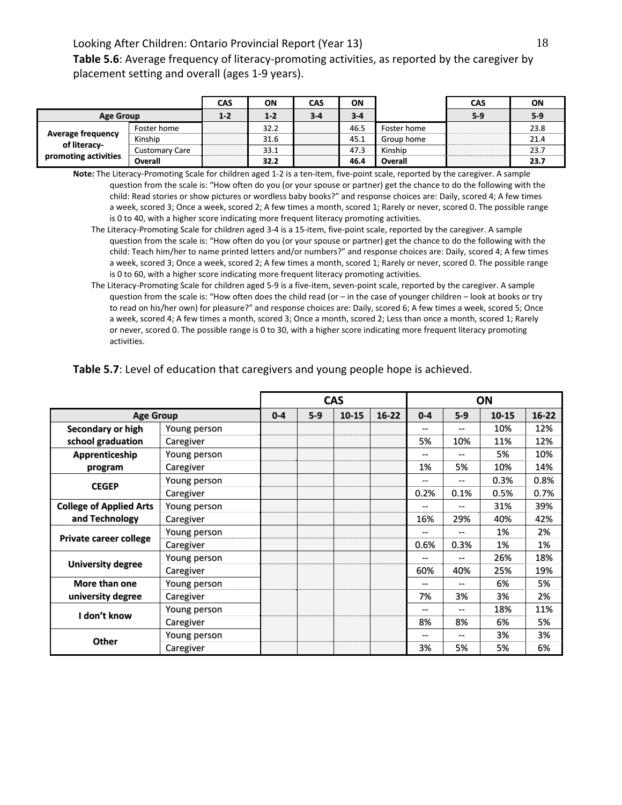**Table 5.6**: Average frequency of literacy‐promoting activities, as reported by the caregiver by placement setting and overall (ages 1‐9 years).

|                                          |                       | CAS     | ΟN    | CAS     | ΟN      |             | <b>CAS</b> | ON    |
|------------------------------------------|-----------------------|---------|-------|---------|---------|-------------|------------|-------|
| <b>Age Group</b>                         |                       | $1 - 2$ | $1-2$ | $3 - 4$ | $3 - 4$ |             | $5-9$      | $5-9$ |
|                                          | Foster home           |         | 32.2  |         | 46.5    | Foster home |            | 23.8  |
| <b>Average frequency</b><br>of literacy- | Kinship               |         | 31.6  |         | 45.1    | Group home  |            | 21.4  |
|                                          | <b>Customary Care</b> |         | 33.1  |         | 47.3    | Kinship     |            | 23.7  |
| promoting activities                     | Overall               |         | 32.2  |         | 46.4    | Overall     |            | 23.7  |

**Note:** The Literacy‐Promoting Scale for children aged 1‐2 is a ten‐item, five‐point scale, reported by the caregiver. A sample question from the scale is: "How often do you (or your spouse or partner) get the chance to do the following with the child: Read stories or show pictures or wordless baby books?" and response choices are: Daily, scored 4; A few times a week, scored 3; Once a week, scored 2; A few times a month, scored 1; Rarely or never, scored 0. The possible range is 0 to 40, with a higher score indicating more frequent literacy promoting activities.

- The Literacy‐Promoting Scale for children aged 3‐4 is a 15‐item, five‐point scale, reported by the caregiver. A sample question from the scale is: "How often do you (or your spouse or partner) get the chance to do the following with the child: Teach him/her to name printed letters and/or numbers?" and response choices are: Daily, scored 4; A few times a week, scored 3; Once a week, scored 2; A few times a month, scored 1; Rarely or never, scored 0. The possible range is 0 to 60, with a higher score indicating more frequent literacy promoting activities.
- The Literacy‐Promoting Scale for children aged 5‐9 is a five‐item, seven‐point scale, reported by the caregiver. A sample question from the scale is: "How often does the child read (or – in the case of younger children – look at books or try to read on his/her own) for pleasure?" and response choices are: Daily, scored 6; A few times a week, scored 5; Once a week, scored 4; A few times a month, scored 3; Once a month, scored 2; Less than once a month, scored 1; Rarely or never, scored 0. The possible range is 0 to 30, with a higher score indicating more frequent literacy promoting activities.

#### **Table 5.7**: Level of education that caregivers and young people hope is achieved.

|                                |              |         |       | <b>CAS</b> |           |         |       | ON        |           |
|--------------------------------|--------------|---------|-------|------------|-----------|---------|-------|-----------|-----------|
| <b>Age Group</b>               |              | $0 - 4$ | $5-9$ | $10 - 15$  | $16 - 22$ | $0 - 4$ | $5-9$ | $10 - 15$ | $16 - 22$ |
| Secondary or high              | Young person |         |       |            |           |         |       | 10%       | 12%       |
| school graduation              | Caregiver    |         |       |            |           | 5%      | 10%   | 11%       | 12%       |
| Apprenticeship                 | Young person |         |       |            |           | --      | --    | 5%        | 10%       |
| program                        | Caregiver    |         |       |            |           | 1%      | 5%    | 10%       | 14%       |
|                                | Young person |         |       |            |           | --      | --    | 0.3%      | 0.8%      |
| <b>CEGEP</b>                   | Caregiver    |         |       |            |           | 0.2%    | 0.1%  | 0.5%      | 0.7%      |
| <b>College of Applied Arts</b> | Young person |         |       |            |           | --      | --    | 31%       | 39%       |
| and Technology                 | Caregiver    |         |       |            |           | 16%     | 29%   | 40%       | 42%       |
|                                | Young person |         |       |            |           | --      | --    | 1%        | 2%        |
| <b>Private career college</b>  | Caregiver    |         |       |            |           | 0.6%    | 0.3%  | 1%        | 1%        |
|                                | Young person |         |       |            |           |         | --    | 26%       | 18%       |
| <b>University degree</b>       | Caregiver    |         |       |            |           | 60%     | 40%   | 25%       | 19%       |
| More than one                  | Young person |         |       |            |           | --      | --    | 6%        | 5%        |
| university degree              | Caregiver    |         |       |            |           | 7%      | 3%    | 3%        | 2%        |
| I don't know                   | Young person |         |       |            |           | --      | --    | 18%       | 11%       |
|                                | Caregiver    |         |       |            |           | 8%      | 8%    | 6%        | 5%        |
| <b>Other</b>                   | Young person |         |       |            |           | --      | --    | 3%        | 3%        |
|                                | Caregiver    |         |       |            |           | 3%      | 5%    | 5%        | 6%        |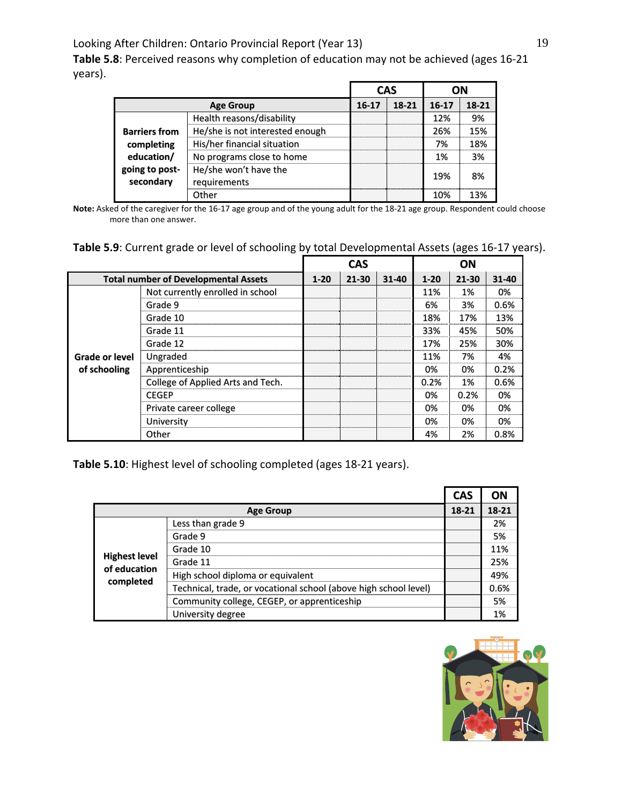**Table 5.8**: Perceived reasons why completion of education may not be achieved (ages 16‐21 years).

|                             |                                       | <b>CAS</b> |       |           | OΝ    |  |
|-----------------------------|---------------------------------------|------------|-------|-----------|-------|--|
|                             | <b>Age Group</b>                      | $16 - 17$  | 18-21 | $16 - 17$ | 18-21 |  |
|                             | Health reasons/disability             |            |       | 12%       | 9%    |  |
| <b>Barriers from</b>        | He/she is not interested enough       |            |       | 26%       | 15%   |  |
| completing                  | His/her financial situation           |            |       | 7%        | 18%   |  |
| education/                  | No programs close to home             |            |       | 1%        | 3%    |  |
| going to post-<br>secondary | He/she won't have the<br>requirements |            |       | 19%       | 8%    |  |
|                             | Other                                 |            |       | 10%       | 13%   |  |

**Note:** Asked of the caregiver for the 16‐17 age group and of the young adult for the 18‐21 age group. Respondent could choose more than one answer.

|  | Table 5.9: Current grade or level of schooling by total Developmental Assets (ages 16-17 years). |  |
|--|--------------------------------------------------------------------------------------------------|--|
|--|--------------------------------------------------------------------------------------------------|--|

|                |                                             |          | <b>CAS</b> |       |                                                                                                                                           | ON |       |
|----------------|---------------------------------------------|----------|------------|-------|-------------------------------------------------------------------------------------------------------------------------------------------|----|-------|
|                | <b>Total number of Developmental Assets</b> | $1 - 20$ | $21 - 30$  | 31-40 | $1 - 20$<br>21-30<br>11%<br>1%<br>6%<br>3%<br>18%<br>17%<br>33%<br>45%<br>25%<br>17%<br>11%<br>7%<br>0%<br>0%<br>0.2%<br>1%<br>0%<br>0.2% |    | 31-40 |
|                | Not currently enrolled in school            |          |            |       |                                                                                                                                           |    | 0%    |
|                | Grade 9                                     |          |            |       |                                                                                                                                           |    | 0.6%  |
|                | Grade 10                                    |          |            |       |                                                                                                                                           |    | 13%   |
|                | Grade 11                                    |          |            |       |                                                                                                                                           |    | 50%   |
|                | Grade 12                                    |          |            |       |                                                                                                                                           |    | 30%   |
| Grade or level | Ungraded                                    |          |            |       |                                                                                                                                           |    | 4%    |
| of schooling   | Apprenticeship                              |          |            |       |                                                                                                                                           |    | 0.2%  |
|                | College of Applied Arts and Tech.           |          |            |       |                                                                                                                                           |    | 0.6%  |
|                | <b>CEGEP</b>                                |          |            |       |                                                                                                                                           |    | 0%    |
|                | Private career college                      |          |            |       | 0%                                                                                                                                        | 0% | 0%    |
|                | University                                  |          |            |       | 0%                                                                                                                                        | 0% | 0%    |
|                | Other                                       |          |            |       | 4%                                                                                                                                        | 2% | 0.8%  |

**Table 5.10**: Highest level of schooling completed (ages 18‐21 years).

|                                      |                                                                  | <b>CAS</b> | ΟN    |
|--------------------------------------|------------------------------------------------------------------|------------|-------|
|                                      | <b>Age Group</b>                                                 | 18-21      | 18-21 |
|                                      | Less than grade 9                                                |            | 2%    |
|                                      | Grade 9                                                          |            | 5%    |
|                                      | Grade 10                                                         |            | 11%   |
| <b>Highest level</b><br>of education | Grade 11                                                         |            | 25%   |
|                                      | High school diploma or equivalent                                |            | 49%   |
| completed                            | Technical, trade, or vocational school (above high school level) |            | 0.6%  |
|                                      | Community college, CEGEP, or apprenticeship                      |            | 5%    |
|                                      | University degree                                                |            | 1%    |

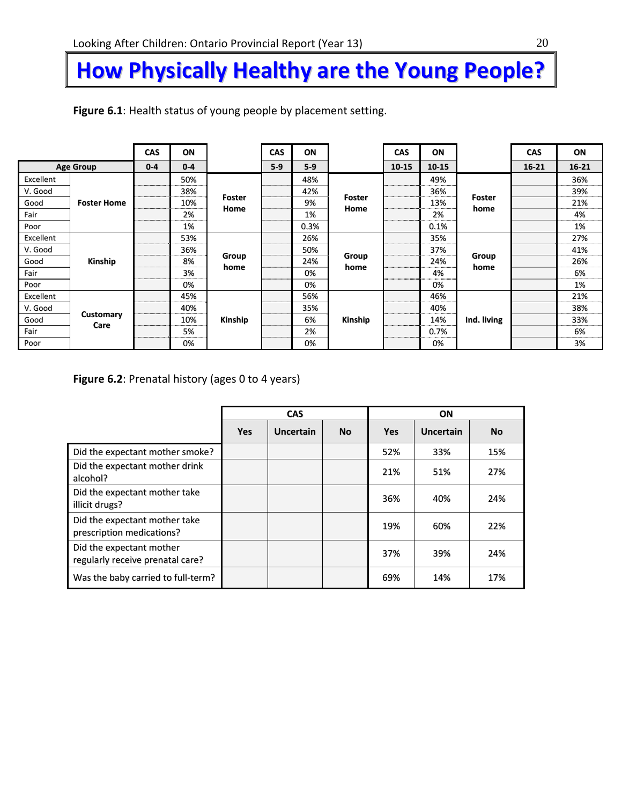# **How Physically Healthy are the Young People?**

|           |                    | CAS     | ON      |                | CAS   | ON    |                | CAS       | ON        |                | <b>CAS</b> | ON        |
|-----------|--------------------|---------|---------|----------------|-------|-------|----------------|-----------|-----------|----------------|------------|-----------|
|           | <b>Age Group</b>   | $0 - 4$ | $0 - 4$ |                | $5-9$ | $5-9$ |                | $10 - 15$ | $10 - 15$ |                | $16 - 21$  | $16 - 21$ |
| Excellent |                    |         | 50%     |                |       | 48%   |                |           | 49%       |                |            | 36%       |
| V. Good   |                    |         | 38%     |                |       | 42%   |                |           | 36%       |                |            | 39%       |
| Good      | <b>Foster Home</b> |         | 10%     | Foster<br>Home |       | 9%    | Foster<br>Home |           | 13%       | Foster<br>home |            | 21%       |
| Fair      |                    |         | 2%      |                |       | 1%    |                |           | 2%        |                |            | 4%        |
| Poor      |                    |         | 1%      |                |       | 0.3%  |                |           | 0.1%      |                |            | 1%        |
| Excellent |                    |         | 53%     |                |       | 26%   |                |           | 35%       |                |            | 27%       |
| V. Good   |                    |         | 36%     |                |       | 50%   |                |           | 37%       |                |            | 41%       |
| Good      | Kinship            |         | 8%      | Group<br>home  |       | 24%   | Group<br>home  |           | 24%       | Group<br>home  |            | 26%       |
| Fair      |                    |         | 3%      |                |       | 0%    |                |           | 4%        |                |            | 6%        |
| Poor      |                    |         | 0%      |                |       | 0%    |                |           | 0%        |                |            | 1%        |
| Excellent |                    |         | 45%     |                |       | 56%   |                |           | 46%       |                |            | 21%       |
| V. Good   |                    |         | 40%     |                |       | 35%   |                |           | 40%       |                |            | 38%       |
| Good      | <b>Customary</b>   |         | 10%     | Kinship        |       | 6%    | Kinship        |           | 14%       | Ind. living    |            | 33%       |
| Fair      | Care               | 5%      |         | 2%<br>0.7%     |       |       | 6%             |           |           |                |            |           |
| Poor      |                    |         | 0%      |                |       | 0%    |                |           | 0%        |                |            | 3%        |

**Figure 6.1**: Health status of young people by placement setting.

**Figure 6.2**: Prenatal history (ages 0 to 4 years)

|                                                              |            | <b>CAS</b>       |           |            | ON        |           |
|--------------------------------------------------------------|------------|------------------|-----------|------------|-----------|-----------|
|                                                              | <b>Yes</b> | <b>Uncertain</b> | <b>No</b> | <b>Yes</b> | Uncertain | <b>No</b> |
| Did the expectant mother smoke?                              |            |                  |           | 52%        | 33%       | 15%       |
| Did the expectant mother drink<br>alcohol?                   |            |                  |           | 21%        | 51%       | 27%       |
| Did the expectant mother take<br>illicit drugs?              |            |                  |           | 36%        | 40%       | 24%       |
| Did the expectant mother take<br>prescription medications?   |            |                  |           | 19%        | 60%       | 22%       |
| Did the expectant mother<br>regularly receive prenatal care? |            |                  |           | 37%        | 39%       | 24%       |
| Was the baby carried to full-term?                           |            |                  |           | 69%        | 14%       | 17%       |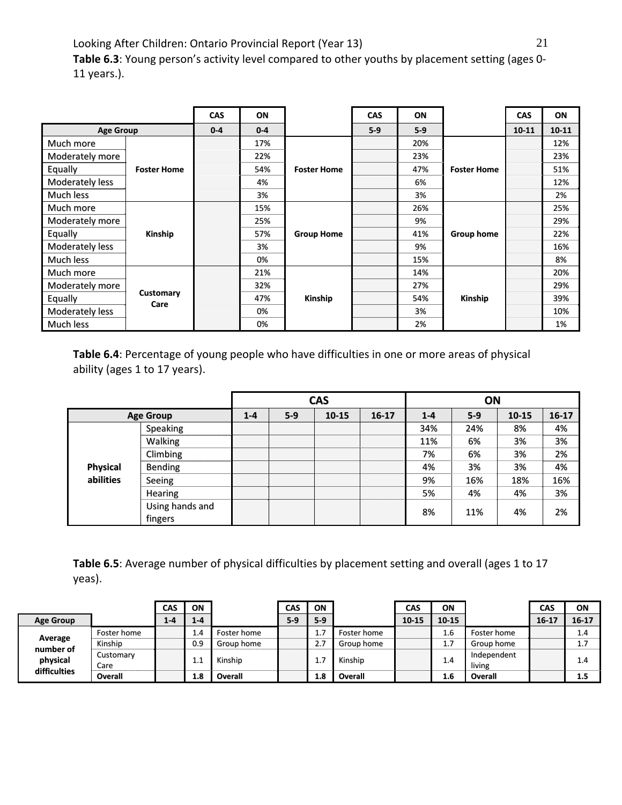Looking After Children: Ontario Provincial Report (Year 13) 21 **Table 6.3**: Young person's activity level compared to other youths by placement setting (ages 0‐ 11 years.).

|                  |                    | <b>CAS</b> | ON      |                    | <b>CAS</b> | ON    |                    | <b>CAS</b> | ON        |
|------------------|--------------------|------------|---------|--------------------|------------|-------|--------------------|------------|-----------|
| <b>Age Group</b> |                    | $0 - 4$    | $0 - 4$ |                    | $5-9$      | $5-9$ |                    | $10 - 11$  | $10 - 11$ |
| Much more        |                    |            | 17%     |                    |            | 20%   |                    |            | 12%       |
| Moderately more  |                    |            | 22%     |                    |            | 23%   |                    |            | 23%       |
| Equally          | <b>Foster Home</b> |            | 54%     | <b>Foster Home</b> |            | 47%   | <b>Foster Home</b> |            | 51%       |
| Moderately less  |                    |            | 4%      |                    |            | 6%    |                    |            | 12%       |
| Much less        |                    |            | 3%      |                    |            | 3%    |                    |            | 2%        |
| Much more        |                    |            | 15%     |                    |            | 26%   |                    |            | 25%       |
| Moderately more  |                    |            | 25%     |                    |            | 9%    |                    |            | 29%       |
| Equally          | Kinship            |            | 57%     | <b>Group Home</b>  |            | 41%   | Group home         |            | 22%       |
| Moderately less  |                    |            | 3%      |                    |            | 9%    |                    |            | 16%       |
| Much less        |                    |            | 0%      |                    |            | 15%   |                    |            | 8%        |
| Much more        |                    |            | 21%     |                    |            | 14%   |                    |            | 20%       |
| Moderately more  |                    |            | 32%     |                    |            | 27%   |                    |            | 29%       |
| Equally          | Customary<br>Care  |            | 47%     | Kinship            |            | 54%   | Kinship            |            | 39%       |
| Moderately less  |                    |            | 0%      |                    |            | 3%    |                    |            | 10%       |
| Much less        |                    |            | 0%      |                    |            | 2%    |                    |            | 1%        |

**Table 6.4**: Percentage of young people who have difficulties in one or more areas of physical ability (ages 1 to 17 years).

|                 |                            |         |       | <b>CAS</b> |           |         | ON      |       |           |
|-----------------|----------------------------|---------|-------|------------|-----------|---------|---------|-------|-----------|
|                 | <b>Age Group</b>           | $1 - 4$ | $5-9$ | 10-15      | $16 - 17$ | $1 - 4$ | $5 - 9$ | 10-15 | $16 - 17$ |
|                 | Speaking                   |         |       |            |           | 34%     | 24%     | 8%    | 4%        |
|                 | Walking                    |         |       |            |           | 11%     | 6%      | 3%    | 3%        |
|                 | Climbing                   |         |       |            |           | 7%      | 6%      | 3%    | 2%        |
| <b>Physical</b> | Bending                    |         |       |            |           | 4%      | 3%      | 3%    | 4%        |
| abilities       | Seeing                     |         |       |            |           | 9%      | 16%     | 18%   | 16%       |
|                 | Hearing                    |         |       |            |           | 5%      | 4%      | 4%    | 3%        |
|                 | Using hands and<br>fingers |         |       |            |           | 8%      | 11%     | 4%    | 2%        |

**Table 6.5**: Average number of physical difficulties by placement setting and overall (ages 1 to 17 yeas).

|                       |                   | CAS     | ON      |             | CAS   | ON    |             | CAS       | ON        |                       | CAS       | ON    |
|-----------------------|-------------------|---------|---------|-------------|-------|-------|-------------|-----------|-----------|-----------------------|-----------|-------|
| <b>Age Group</b>      |                   | $1 - 4$ | $1 - 4$ |             | $5-9$ | $5-9$ |             | $10 - 15$ | $10 - 15$ |                       | $16 - 17$ | 16-17 |
|                       | Foster home       |         | 1.4     | Foster home |       | 1.7   | Foster home |           | $1.6\,$   | Foster home           |           | 1.4   |
| Average               | Kinship           |         | 0.9     | Group home  |       | 2.7   | Group home  |           | ⇁<br>1.7  | Group home            |           | 1.7   |
| number of<br>physical | Customary<br>Care |         |         | Kinship     |       |       | Kinship     |           | 1.4       | Independent<br>living |           | 1.4   |
| difficulties          | Overall           |         | 1.8     | Overall     |       | 1.8   | Overall     |           | 1.6       | Overall               |           | 1.5   |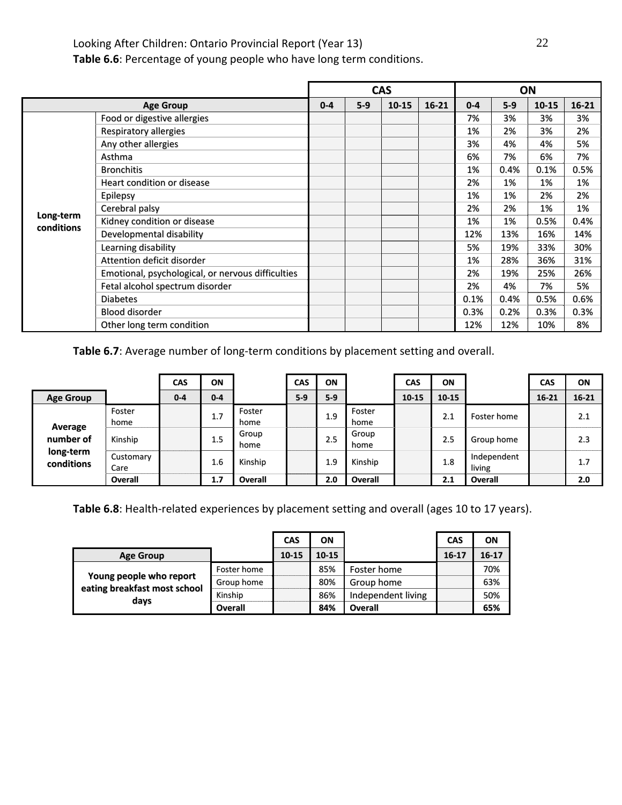**Table 6.6**: Percentage of young people who have long term conditions.

|                         |                                                   |         |       | <b>CAS</b> |           |         |       | ON        |           |
|-------------------------|---------------------------------------------------|---------|-------|------------|-----------|---------|-------|-----------|-----------|
|                         | <b>Age Group</b>                                  | $0 - 4$ | $5-9$ | $10 - 15$  | $16 - 21$ | $0 - 4$ | $5-9$ | $10 - 15$ | $16 - 21$ |
|                         | Food or digestive allergies                       |         |       |            |           | 7%      | 3%    | 3%        | 3%        |
|                         | Respiratory allergies                             |         |       |            |           | 1%      | 2%    | 3%        | 2%        |
|                         | Any other allergies                               |         |       |            |           | 3%      | 4%    | 4%        | 5%        |
|                         | Asthma                                            |         |       |            |           | 6%      | 7%    | 6%        | 7%        |
|                         | <b>Bronchitis</b>                                 |         |       |            |           | 1%      | 0.4%  | 0.1%      | 0.5%      |
|                         | Heart condition or disease                        |         |       |            |           | 2%      | 1%    | 1%        | 1%        |
|                         | Epilepsy                                          |         |       |            |           | 1%      | 1%    | 2%        | 2%        |
|                         | Cerebral palsy                                    |         |       |            |           | 2%      | 2%    | 1%        | 1%        |
| Long-term<br>conditions | Kidney condition or disease                       |         |       |            |           | 1%      | 1%    | 0.5%      | 0.4%      |
|                         | Developmental disability                          |         |       |            |           | 12%     | 13%   | 16%       | 14%       |
|                         | Learning disability                               |         |       |            |           | 5%      | 19%   | 33%       | 30%       |
|                         | Attention deficit disorder                        |         |       |            |           | 1%      | 28%   | 36%       | 31%       |
|                         | Emotional, psychological, or nervous difficulties |         |       |            |           | 2%      | 19%   | 25%       | 26%       |
|                         | Fetal alcohol spectrum disorder                   |         |       |            |           | 2%      | 4%    | 7%        | 5%        |
|                         | <b>Diabetes</b>                                   |         |       |            |           | 0.1%    | 0.4%  | 0.5%      | 0.6%      |
|                         | <b>Blood disorder</b>                             |         |       |            |           | 0.3%    | 0.2%  | 0.3%      | 0.3%      |
|                         | Other long term condition                         |         |       |            |           | 12%     | 12%   | 10%       | 8%        |

Table 6.7: Average number of long-term conditions by placement setting and overall.

|                         |                   | CAS     | ON      |                | <b>CAS</b> | ON    |                | CAS       | ON        |                       | CAS       | ON        |
|-------------------------|-------------------|---------|---------|----------------|------------|-------|----------------|-----------|-----------|-----------------------|-----------|-----------|
| <b>Age Group</b>        |                   | $0 - 4$ | $0 - 4$ |                | $5-9$      | $5-9$ |                | $10 - 15$ | $10 - 15$ |                       | $16 - 21$ | $16 - 21$ |
| Average                 | Foster<br>home    |         | 1.7     | Foster<br>home |            | 1.9   | Foster<br>home |           | 2.1       | Foster home           |           | 2.1       |
| number of               | Kinship           |         | 1.5     | Group<br>home  |            | 2.5   | Group<br>home  |           | 2.5       | Group home            |           | 2.3       |
| long-term<br>conditions | Customary<br>Care |         | 1.6     | Kinship        |            | 1.9   | Kinship        |           | 1.8       | Independent<br>living |           | 1.7       |
|                         | Overall           |         | 1,7     | <b>Overall</b> |            | 2.0   | Overall        |           | 2.1       | Overall               |           | 2.0       |

Table 6.8: Health-related experiences by placement setting and overall (ages 10 to 17 years).

|                                      |             | <b>CAS</b> | ΟN        |                    | <b>CAS</b> | ON        |
|--------------------------------------|-------------|------------|-----------|--------------------|------------|-----------|
| <b>Age Group</b>                     |             | $10 - 15$  | $10 - 15$ |                    | $16 - 17$  | $16 - 17$ |
|                                      | Foster home |            | 85%       | Foster home        |            | 70%       |
| Young people who report              | Group home  |            | 80%       | Group home         |            | 63%       |
| eating breakfast most school<br>days | Kinship     |            | 86%       | Independent living |            | 50%       |
|                                      | Overall     |            | 84%       | <b>Overall</b>     |            | 65%       |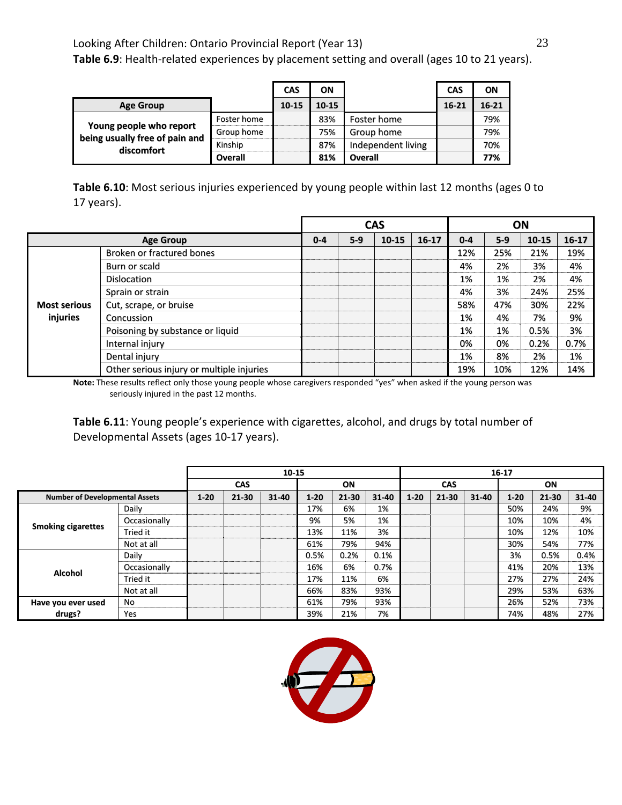Table 6.9: Health-related experiences by placement setting and overall (ages 10 to 21 years).

|                                                           |                | <b>CAS</b> | ON    |                    | <b>CAS</b> | ON        |
|-----------------------------------------------------------|----------------|------------|-------|--------------------|------------|-----------|
| <b>Age Group</b>                                          |                | $10 - 15$  | 10-15 |                    | 16-21      | $16 - 21$ |
|                                                           | Foster home    |            | 83%   | Foster home        |            | 79%       |
| Young people who report<br>being usually free of pain and | Group home     |            | 75%   | Group home         |            | 79%       |
| discomfort                                                | Kinship        |            | 87%   | Independent living |            | 70%       |
|                                                           | <b>Overall</b> |            | 81%   | Overall            |            | 77%       |

**Table 6.10**: Most serious injuries experienced by young people within last 12 months (ages 0 to 17 years).

|                     |                                           |         |       | <b>CAS</b> |           | ON      |       |           |           |
|---------------------|-------------------------------------------|---------|-------|------------|-----------|---------|-------|-----------|-----------|
|                     | <b>Age Group</b>                          | $0 - 4$ | $5-9$ | 10-15      | $16 - 17$ | $0 - 4$ | $5-9$ | $10 - 15$ | $16 - 17$ |
|                     | Broken or fractured bones                 |         |       |            |           | 12%     | 25%   | 21%       | 19%       |
|                     | Burn or scald                             |         |       |            |           | 4%      | 2%    | 3%        | 4%        |
|                     | <b>Dislocation</b>                        |         |       |            |           | 1%      | 1%    | 2%        | 4%        |
|                     | Sprain or strain                          |         |       |            |           | 4%      | 3%    | 24%       | 25%       |
| <b>Most serious</b> | Cut, scrape, or bruise                    |         |       |            |           | 58%     | 47%   | 30%       | 22%       |
| injuries            | Concussion                                |         |       |            |           | 1%      | 4%    | 7%        | 9%        |
|                     | Poisoning by substance or liquid          |         |       |            |           | 1%      | 1%    | 0.5%      | 3%        |
|                     | Internal injury                           |         |       |            |           | 0%      | 0%    | 0.2%      | 0.7%      |
|                     | Dental injury                             |         |       |            |           | 1%      | 8%    | 2%        | 1%        |
|                     | Other serious injury or multiple injuries |         |       |            |           | 19%     | 10%   | 12%       | 14%       |

**Note:** These results reflect only those young people whose caregivers responded "yes" when asked if the young person was seriously injured in the past 12 months.

**Table 6.11**: Young people's experience with cigarettes, alcohol, and drugs by total number of Developmental Assets (ages 10‐17 years).

|                                       |              |          | 10-15      |           |          |           |       |            |           |           | 16-17    |           |           |
|---------------------------------------|--------------|----------|------------|-----------|----------|-----------|-------|------------|-----------|-----------|----------|-----------|-----------|
|                                       |              |          | <b>CAS</b> |           |          | ON        |       | <b>CAS</b> |           |           | ON       |           |           |
| <b>Number of Developmental Assets</b> |              | $1 - 20$ | 21-30      | $31 - 40$ | $1 - 20$ | $21 - 30$ | 31-40 | $1 - 20$   | $21 - 30$ | $31 - 40$ | $1 - 20$ | $21 - 30$ | $31 - 40$ |
|                                       | Daily        |          |            |           | 17%      | 6%        | 1%    |            |           |           | 50%      | 24%       | 9%        |
|                                       | Occasionally |          |            |           | 9%       | 5%        | 1%    |            |           |           | 10%      | 10%       | 4%        |
| <b>Smoking cigarettes</b>             | Tried it     |          |            |           | 13%      | 11%       | 3%    |            |           |           | 10%      | 12%       | 10%       |
|                                       | Not at all   |          |            |           | 61%      | 79%       | 94%   |            |           |           | 30%      | 54%       | 77%       |
|                                       | Daily        |          |            |           | 0.5%     | 0.2%      | 0.1%  |            |           |           | 3%       | 0.5%      | 0.4%      |
| Alcohol                               | Occasionally |          |            |           | 16%      | 6%        | 0.7%  |            |           |           | 41%      | 20%       | 13%       |
|                                       | Tried it     |          |            |           | 17%      | 11%       | 6%    |            |           |           | 27%      | 27%       | 24%       |
|                                       | Not at all   |          |            |           | 66%      | 83%       | 93%   |            |           |           | 29%      | 53%       | 63%       |
| Have you ever used                    | No           |          |            |           | 61%      | 79%       | 93%   |            |           |           | 26%      | 52%       | 73%       |
| drugs?                                | Yes          |          |            |           | 39%      | 21%       | 7%    |            |           |           | 74%      | 48%       | 27%       |

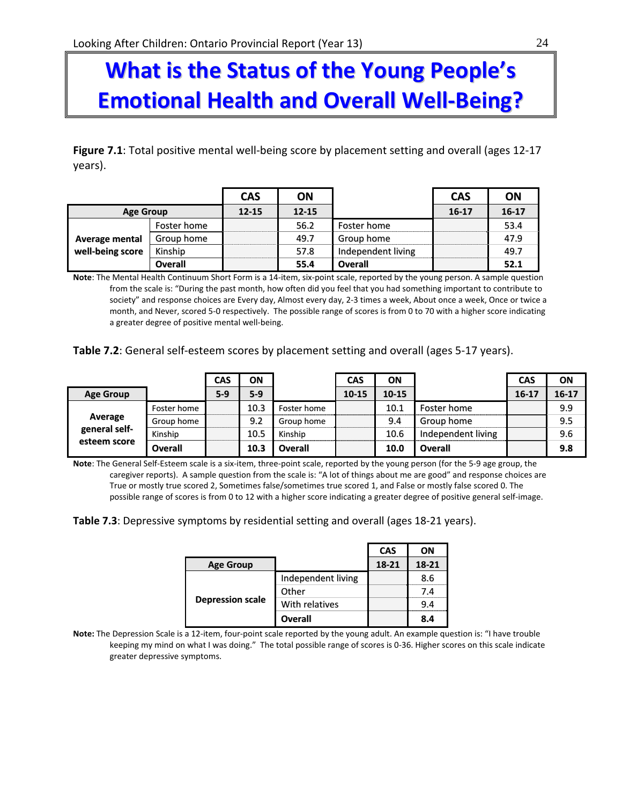# **What is the Status of the Young People's Emotional Health and Overall Well‐Being?**

**Figure 7.1**: Total positive mental well‐being score by placement setting and overall (ages 12‐17 years).

|                       |                | <b>CAS</b> | ON        |                    | <b>CAS</b> | ON        |
|-----------------------|----------------|------------|-----------|--------------------|------------|-----------|
| <b>Age Group</b>      |                | $12 - 15$  | $12 - 15$ |                    | $16 - 17$  | $16 - 17$ |
|                       | Foster home    |            | 56.2      | Foster home        |            | 53.4      |
| <b>Average mental</b> | Group home     |            | 49.7      | Group home         |            | 47.9      |
| well-being score      | Kinship        |            | 57.8      | Independent living |            | 49.7      |
|                       | <b>Overall</b> |            | 55.4      | <b>Overall</b>     |            | 52.1      |

**Note**: The Mental Health Continuum Short Form is a 14‐item, six‐point scale, reported by the young person. A sample question from the scale is: "During the past month, how often did you feel that you had something important to contribute to society" and response choices are Every day, Almost every day, 2‐3 times a week, About once a week, Once or twice a month, and Never, scored 5‐0 respectively. The possible range of scores is from 0 to 70 with a higher score indicating a greater degree of positive mental well‐being.

**Table 7.2**: General self‐esteem scores by placement setting and overall (ages 5‐17 years).

|                  |                | <b>CAS</b> | ΟN    |             | <b>CAS</b> | ON        |                    | CAS       | ON      |
|------------------|----------------|------------|-------|-------------|------------|-----------|--------------------|-----------|---------|
| <b>Age Group</b> |                | $5-9$      | $5-9$ |             | $10 - 15$  | $10 - 15$ |                    | $16 - 17$ | $16-17$ |
|                  | Foster home    |            | 10.3  | Foster home |            | 10.1      | Foster home        |           | 9.9     |
| Average          | Group home     |            | 9.2   | Group home  |            | 9.4       | Group home         |           | 9.5     |
| general self-    | Kinship        |            | 10.5  | Kinship     |            | 10.6      | Independent living |           | 9.6     |
| esteem score     | <b>Overall</b> |            | 10.3  | Overall     |            | 10.0      | Overall            |           | 9.8     |

**Note**: The General Self‐Esteem scale is a six‐item, three‐point scale, reported by the young person (for the 5‐9 age group, the caregiver reports). A sample question from the scale is: "A lot of things about me are good" and response choices are True or mostly true scored 2, Sometimes false/sometimes true scored 1, and False or mostly false scored 0. The possible range of scores is from 0 to 12 with a higher score indicating a greater degree of positive general self-image.

**Table 7.3**: Depressive symptoms by residential setting and overall (ages 18‐21 years).

|                         |                    | CAS   | ΟN    |
|-------------------------|--------------------|-------|-------|
| <b>Age Group</b>        |                    | 18-21 | 18-21 |
|                         | Independent living |       | 8.6   |
|                         | Other              |       | 7.4   |
| <b>Depression scale</b> | With relatives     |       | 9.4   |
|                         | Overall            |       | 8.4   |

**Note:** The Depression Scale is a 12‐item, four‐point scale reported by the young adult. An example question is: "I have trouble keeping my mind on what I was doing." The total possible range of scores is 0-36. Higher scores on this scale indicate greater depressive symptoms.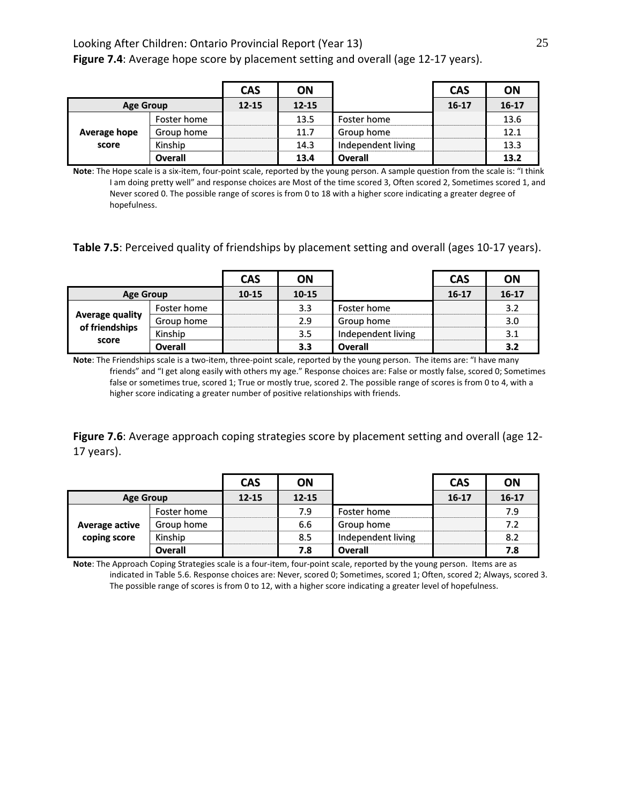|                  |                | <b>CAS</b> | ON        |                    | <b>CAS</b> | ON        |
|------------------|----------------|------------|-----------|--------------------|------------|-----------|
| <b>Age Group</b> |                | $12 - 15$  | $12 - 15$ |                    | $16 - 17$  | $16 - 17$ |
|                  | Foster home    |            | 13.5      | Foster home        |            | 13.6      |
| Average hope     | Group home     |            | 11.7      | Group home         |            | 12.1      |
| score            | Kinship        |            | 14.3      | Independent living |            | 13.3      |
|                  | <b>Overall</b> |            | 13.4      | <b>Overall</b>     |            | 13.2      |

**Note**: The Hope scale is a six‐item, four‐point scale, reported by the young person. A sample question from the scale is: "I think I am doing pretty well" and response choices are Most of the time scored 3, Often scored 2, Sometimes scored 1, and Never scored 0. The possible range of scores is from 0 to 18 with a higher score indicating a greater degree of hopefulness.

#### **Table 7.5**: Perceived quality of friendships by placement setting and overall (ages 10‐17 years).

|                                                   |                | <b>CAS</b> | ON        |                    | <b>CAS</b> | ON        |
|---------------------------------------------------|----------------|------------|-----------|--------------------|------------|-----------|
| <b>Age Group</b>                                  |                | $10 - 15$  | $10 - 15$ |                    | $16 - 17$  | $16 - 17$ |
| <b>Average quality</b><br>of friendships<br>score | Foster home    |            | 3.3       | Foster home        |            | 3.2       |
|                                                   | Group home     |            | 2.9       | Group home         |            | 3.0       |
|                                                   | Kinship        |            | 3.5       | Independent living |            | 3,1       |
|                                                   | <b>Overall</b> |            | 3.3       | Overall            |            | 3.2       |

**Note**: The Friendships scale is a two-item, three-point scale, reported by the young person. The items are: "I have many friends" and "I get along easily with others my age." Response choices are: False or mostly false, scored 0; Sometimes false or sometimes true, scored 1; True or mostly true, scored 2. The possible range of scores is from 0 to 4, with a higher score indicating a greater number of positive relationships with friends.

**Figure 7.6**: Average approach coping strategies score by placement setting and overall (age 12‐ 17 years).

|                       |                | <b>CAS</b> | ON        |                    | <b>CAS</b> | ON        |
|-----------------------|----------------|------------|-----------|--------------------|------------|-----------|
| <b>Age Group</b>      |                | $12 - 15$  | $12 - 15$ |                    | $16 - 17$  | $16 - 17$ |
|                       | Foster home    |            | 7.9       | Foster home        |            | 7.9       |
| <b>Average active</b> | Group home     |            | 6.6       | Group home         |            | 7.2       |
| coping score          | Kinship        |            | 8.5       | Independent living |            | 8.2       |
|                       | <b>Overall</b> |            | 7.8       | <b>Overall</b>     |            | 7.8       |

**Note**: The Approach Coping Strategies scale is a four‐item, four‐point scale, reported by the young person. Items are as indicated in Table 5.6. Response choices are: Never, scored 0; Sometimes, scored 1; Often, scored 2; Always, scored 3. The possible range of scores is from 0 to 12, with a higher score indicating a greater level of hopefulness.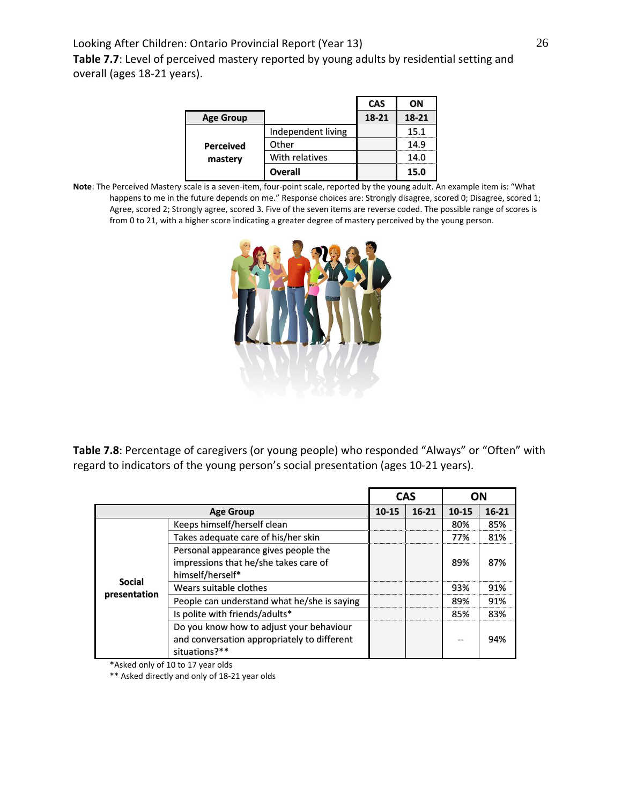**Table 7.7**: Level of perceived mastery reported by young adults by residential setting and overall (ages 18‐21 years).

|                  |                    | <b>CAS</b> | ΟN    |
|------------------|--------------------|------------|-------|
| <b>Age Group</b> |                    | 18-21      | 18-21 |
|                  | Independent living |            | 15.1  |
| <b>Perceived</b> | Other              |            | 14.9  |
| mastery          | With relatives     |            | 14.0  |
|                  | <b>Overall</b>     |            | 15.0  |

**Note**: The Perceived Mastery scale is a seven‐item, four‐point scale, reported by the young adult. An example item is: "What happens to me in the future depends on me." Response choices are: Strongly disagree, scored 0; Disagree, scored 1; Agree, scored 2; Strongly agree, scored 3. Five of the seven items are reverse coded. The possible range of scores is from 0 to 21, with a higher score indicating a greater degree of mastery perceived by the young person.



**Table 7.8**: Percentage of caregivers (or young people) who responded "Always" or "Often" with regard to indicators of the young person's social presentation (ages 10‐21 years).

|               |                                                                                                          |       | <b>CAS</b> | OΝ        |         |
|---------------|----------------------------------------------------------------------------------------------------------|-------|------------|-----------|---------|
|               | <b>Age Group</b>                                                                                         | 10-15 | $16-21$    | $10 - 15$ | $16-21$ |
|               | Keeps himself/herself clean                                                                              |       |            | 80%       | 85%     |
|               | Takes adequate care of his/her skin                                                                      |       |            | 77%       | 81%     |
|               | Personal appearance gives people the<br>impressions that he/she takes care of<br>himself/herself*        |       |            | 89%       | 87%     |
| <b>Social</b> | Wears suitable clothes                                                                                   |       |            | 93%       | 91%     |
| presentation  | People can understand what he/she is saying                                                              |       |            | 89%       | 91%     |
|               | Is polite with friends/adults*                                                                           |       |            | 85%       | 83%     |
|               | Do you know how to adjust your behaviour<br>and conversation appropriately to different<br>situations?** |       |            | --        | 94%     |

\*Asked only of 10 to 17 year olds

\*\* Asked directly and only of 18‐21 year olds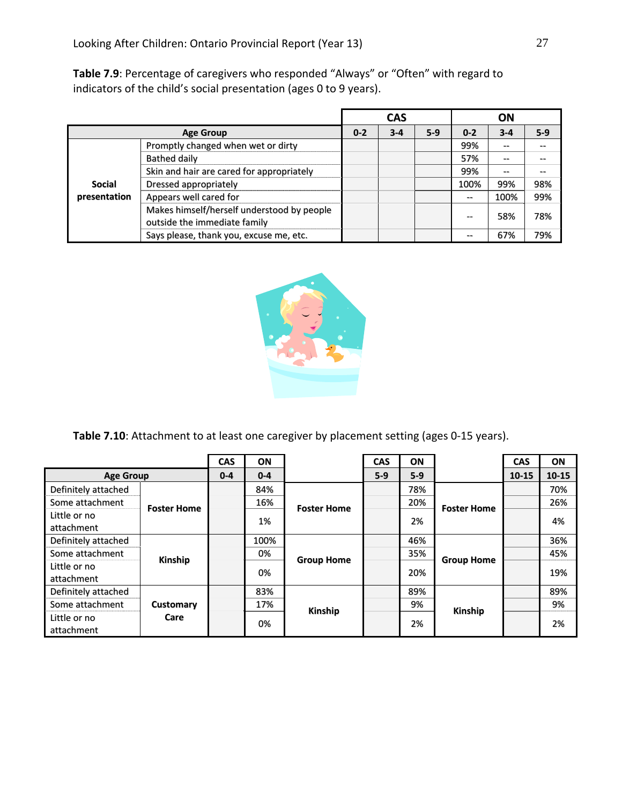**Table 7.9**: Percentage of caregivers who responded "Always" or "Often" with regard to indicators of the child's social presentation (ages 0 to 9 years).

|               |                                                                            |         | <b>CAS</b> |       |         | ON      |       |
|---------------|----------------------------------------------------------------------------|---------|------------|-------|---------|---------|-------|
|               | <b>Age Group</b>                                                           | $0 - 2$ | $3 - 4$    | $5-9$ | $0 - 2$ | $3 - 4$ | $5-9$ |
|               | Promptly changed when wet or dirty                                         |         |            |       | 99%     | $- -$   |       |
|               | Bathed daily                                                               |         |            |       | 57%     | --      |       |
|               | Skin and hair are cared for appropriately                                  |         |            |       | 99%     | --      |       |
| <b>Social</b> | Dressed appropriately                                                      |         |            |       | 100%    | 99%     | 98%   |
| presentation  | Appears well cared for                                                     |         |            |       | --      | 100%    | 99%   |
|               | Makes himself/herself understood by people<br>outside the immediate family |         |            |       | $- -$   | 58%     | 78%   |
|               | Says please, thank you, excuse me, etc.                                    |         |            |       |         | 67%     | 79%   |



**Table 7.10**: Attachment to at least one caregiver by placement setting (ages 0‐15 years).

|                            |                          | <b>CAS</b> | ON      |                    | <b>CAS</b> | ON    |                    | <b>CAS</b> | ON        |
|----------------------------|--------------------------|------------|---------|--------------------|------------|-------|--------------------|------------|-----------|
| <b>Age Group</b>           |                          | $0 - 4$    | $0 - 4$ |                    | $5-9$      | $5-9$ |                    | $10 - 15$  | $10 - 15$ |
| Definitely attached        | <b>Foster Home</b>       |            | 84%     | <b>Foster Home</b> |            | 78%   | <b>Foster Home</b> |            | 70%       |
| Some attachment            |                          |            | 16%     |                    |            | 20%   |                    |            | 26%       |
| Little or no<br>attachment |                          |            | 1%      |                    |            | 2%    |                    |            | 4%        |
| Definitely attached        | Kinship                  |            | 100%    | <b>Group Home</b>  |            | 46%   | <b>Group Home</b>  |            | 36%       |
| Some attachment            |                          |            | 0%      |                    |            | 35%   |                    |            | 45%       |
| Little or no<br>attachment |                          |            | 0%      |                    |            | 20%   |                    |            | 19%       |
| Definitely attached        | <b>Customary</b><br>Care |            | 83%     | Kinship            |            | 89%   | Kinship            |            | 89%       |
| Some attachment            |                          |            | 17%     |                    |            | 9%    |                    |            | 9%        |
| Little or no<br>attachment |                          |            | 0%      |                    | 2%         |       | 2%                 |            |           |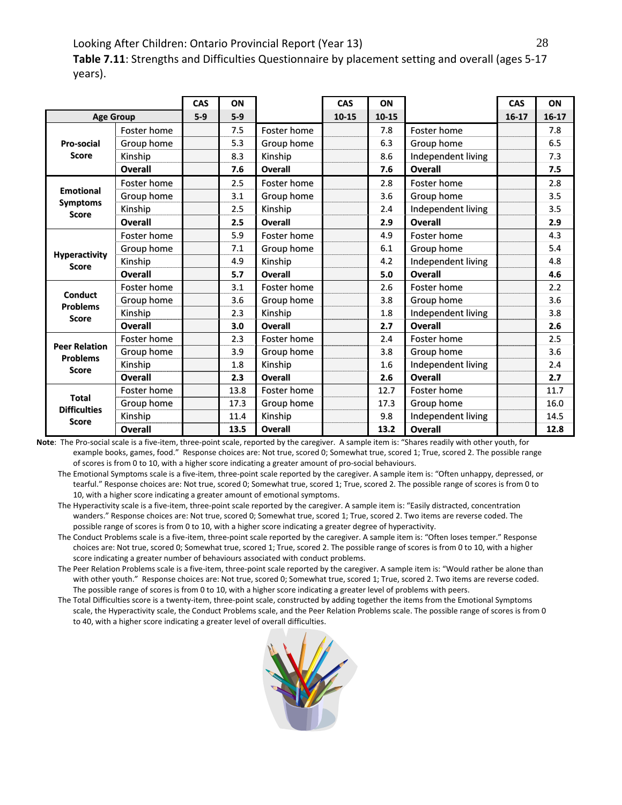**Table 7.11**: Strengths and Difficulties Questionnaire by placement setting and overall (ages 5‐17 years).

|                                                         |                | CAS   | ON    |                | CAS       | ON    |                    | <b>CAS</b> | ON      |
|---------------------------------------------------------|----------------|-------|-------|----------------|-----------|-------|--------------------|------------|---------|
| <b>Age Group</b>                                        |                | $5-9$ | $5-9$ |                | $10 - 15$ | 10-15 |                    | $16-17$    | $16-17$ |
| Pro-social<br><b>Score</b>                              | Foster home    |       | 7.5   | Foster home    |           | 7.8   | Foster home        |            | 7.8     |
|                                                         | Group home     |       | 5.3   | Group home     |           | 6.3   | Group home         |            | 6.5     |
|                                                         | Kinship        |       | 8.3   | Kinship        |           | 8.6   | Independent living |            | 7.3     |
|                                                         | <b>Overall</b> |       | 7.6   | <b>Overall</b> |           | 7.6   | <b>Overall</b>     |            | 7.5     |
|                                                         | Foster home    |       | 2.5   | Foster home    |           | 2.8   | Foster home        |            | 2.8     |
| <b>Emotional</b>                                        | Group home     |       | 3.1   | Group home     |           | 3.6   | Group home         |            | 3.5     |
| <b>Symptoms</b><br><b>Score</b>                         | Kinship        |       | 2.5   | Kinship        |           | 2.4   | Independent living |            | 3.5     |
|                                                         | <b>Overall</b> |       | 2.5   | Overall        |           | 2.9   | <b>Overall</b>     |            | 2.9     |
|                                                         | Foster home    |       | 5.9   | Foster home    |           | 4.9   | <b>Foster home</b> |            | 4.3     |
|                                                         | Group home     |       | 7.1   | Group home     |           | 6.1   | Group home         |            | 5.4     |
| <b>Hyperactivity</b><br><b>Score</b>                    | Kinship        |       | 4.9   | Kinship        |           | 4.2   | Independent living |            | 4.8     |
|                                                         | Overall        |       | 5.7   | Overall        |           | 5.0   | Overall            |            | 4.6     |
|                                                         | Foster home    |       | 3.1   | Foster home    |           | 2.6   | <b>Foster home</b> |            | 2.2     |
| <b>Conduct</b><br><b>Problems</b>                       | Group home     |       | 3.6   | Group home     |           | 3.8   | Group home         |            | 3.6     |
| <b>Score</b>                                            | Kinship        |       | 2.3   | Kinship        |           | 1.8   | Independent living |            | 3.8     |
|                                                         | <b>Overall</b> |       | 3.0   | <b>Overall</b> |           | 2.7   | <b>Overall</b>     |            | 2.6     |
|                                                         | Foster home    |       | 2.3   | Foster home    |           | 2.4   | Foster home        |            | 2.5     |
| <b>Peer Relation</b><br><b>Problems</b><br><b>Score</b> | Group home     |       | 3.9   | Group home     |           | 3.8   | Group home         |            | 3.6     |
|                                                         | Kinship        |       | 1.8   | Kinship        |           | 1.6   | Independent living |            | 2.4     |
|                                                         | Overall        |       | 2.3   | Overall        |           | 2.6   | Overall            |            | 2.7     |
| <b>Total</b><br><b>Difficulties</b>                     | Foster home    |       | 13.8  | Foster home    |           | 12.7  | <b>Foster home</b> |            | 11.7    |
|                                                         | Group home     |       | 17.3  | Group home     |           | 17.3  | Group home         |            | 16.0    |
| <b>Score</b>                                            | Kinship        |       | 11.4  | Kinship        |           | 9.8   | Independent living |            | 14.5    |
|                                                         | Overall        |       | 13.5  | <b>Overall</b> |           | 13.2  | Overall            |            | 12.8    |

**Note**: The Pro‐social scale is a five‐item, three‐point scale, reported by the caregiver. A sample item is: "Shares readily with other youth, for example books, games, food." Response choices are: Not true, scored 0; Somewhat true, scored 1; True, scored 2. The possible range of scores is from 0 to 10, with a higher score indicating a greater amount of pro‐social behaviours.

The Emotional Symptoms scale is a five-item, three-point scale reported by the caregiver. A sample item is: "Often unhappy, depressed, or tearful." Response choices are: Not true, scored 0; Somewhat true, scored 1; True, scored 2. The possible range of scores is from 0 to 10, with a higher score indicating a greater amount of emotional symptoms.

 The Hyperactivity scale is a five‐item, three‐point scale reported by the caregiver. A sample item is: "Easily distracted, concentration wanders." Response choices are: Not true, scored 0; Somewhat true, scored 1; True, scored 2. Two items are reverse coded. The possible range of scores is from 0 to 10, with a higher score indicating a greater degree of hyperactivity.

The Conduct Problems scale is a five-item, three-point scale reported by the caregiver. A sample item is: "Often loses temper." Response choices are: Not true, scored 0; Somewhat true, scored 1; True, scored 2. The possible range of scores is from 0 to 10, with a higher score indicating a greater number of behaviours associated with conduct problems.

 The Peer Relation Problems scale is a five‐item, three‐point scale reported by the caregiver. A sample item is: "Would rather be alone than with other youth." Response choices are: Not true, scored 0; Somewhat true, scored 1; True, scored 2. Two items are reverse coded. The possible range of scores is from 0 to 10, with a higher score indicating a greater level of problems with peers.

 The Total Difficulties score is a twenty‐item, three‐point scale, constructed by adding together the items from the Emotional Symptoms scale, the Hyperactivity scale, the Conduct Problems scale, and the Peer Relation Problems scale. The possible range of scores is from 0 to 40, with a higher score indicating a greater level of overall difficulties.